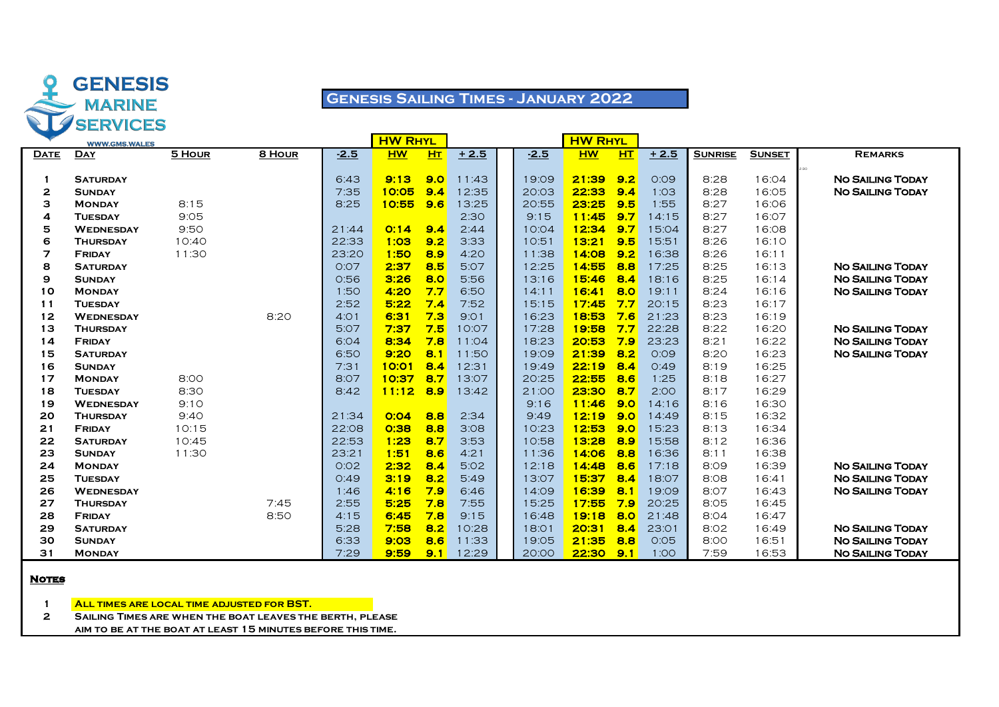

# **Genesis Sailing Times - January 2022**

|             | <b>WWW.GMS.WALES</b>             |               |              |                | <b>HW RHYL</b>       |                |                |                | <b>HW RHYL</b> |            |                |                |                |                                                    |
|-------------|----------------------------------|---------------|--------------|----------------|----------------------|----------------|----------------|----------------|----------------|------------|----------------|----------------|----------------|----------------------------------------------------|
| <b>DATE</b> | <b>DAY</b>                       | 5 HOUR        | 8 HOUR       | $-2.5$         | <b>HW</b>            | H <sub>T</sub> | $+2.5$         | $-2.5$         | <b>HW</b>      | <b>HT</b>  | $+2.5$         | <b>SUNRISE</b> | <b>SUNSET</b>  | <b>REMARKS</b>                                     |
|             |                                  |               |              |                |                      | 9.0            |                |                |                |            |                |                |                | 2:30                                               |
|             | <b>SATURDAY</b>                  |               |              | 6:43<br>7:35   | 9:13<br><b>10:05</b> | 9.4            | 11:43<br>12:35 | 19:09          | 21:39          | 9.2        | O:O9           | 8:28           | 16:04<br>16:05 | <b>NO SAILING TODAY</b><br><b>NO SAILING TODAY</b> |
| 2           | <b>SUNDAY</b>                    |               |              |                |                      | 9.6            |                | 20:03          | 22:33          | 9.4<br>9.5 | 1:03<br>1:55   | 8:28           | 16:06          |                                                    |
| з           | <b>MONDAY</b>                    | 8:15          |              | 8:25           | 10:55                |                | 13:25          | 20:55          | 23:25<br>11:45 | 9.7        |                | 8:27           |                |                                                    |
| 4           | <b>TUESDAY</b>                   | 9:05          |              |                |                      | 9.4            | 2:30           | 9:15           | 12:34          | 9.7        | 14:15          | 8:27           | 16:07          |                                                    |
| 5           | <b>WEDNESDAY</b>                 | 9:50          |              | 21:44          | O:14                 | 9.2            | 2:44           | 10:04          |                | 9.5        | 15:04          | 8:27           | 16:08          |                                                    |
| 6           | <b>THURSDAY</b>                  | 10:40         |              | 22:33          | 1:03<br>1:50         | 8.9            | 3:33           | 10:51          | 13:21<br>14:08 | 9.2        | 15:51          | 8:26           | 16:10          |                                                    |
| 7           | <b>FRIDAY</b>                    | 11:30         |              | 23:20<br>O:O7  | 2:37                 | 8.5            | 4:20<br>5:07   | 11:38          | 14:55          | 8.8        | 16:38          | 8:26           | 16:11<br>16:13 | <b>NO SAILING TODAY</b>                            |
| 8           | <b>SATURDAY</b>                  |               |              |                | 3:26                 | 8.0            |                | 12:25          | 15:46          | 8.4        | 17:25          | 8:25           | 16:14          | <b>NO SAILING TODAY</b>                            |
| 9           | <b>SUNDAY</b>                    |               |              | 0:56           |                      | 7.7            | 5:56<br>6:50   | 13:16          | 16:41          | 8.0        | 18:16          | 8:25<br>8:24   | 16:16          | <b>NO SAILING TODAY</b>                            |
| 10          | <b>MONDAY</b>                    |               |              | 1:50           | 4:20                 | 7.4            |                | 14:11          |                |            | 19:11          |                |                |                                                    |
| 11          | <b>TUESDAY</b>                   |               |              | 2:52           | 5:22                 |                | 7:52           | 15:15          | 17:45          | 7.7        | 20:15          | 8:23           | 16:17          |                                                    |
| 12          | <b>WEDNESDAY</b>                 |               | 8:20         | 4:01<br>5:07   | 6:31                 | 7.3            | 9:01           | 16:23          | 18:53          | 7.6        | 21:23          | 8:23           | 16:19          | <b>NO SAILING TODAY</b>                            |
| 13          | <b>THURSDAY</b>                  |               |              |                | 7:37<br>8:34         | 7.5<br>7.8     | 10:07          | 17:28          | 19:58<br>20:53 | 7.7<br>7.9 | 22:28          | 8:22           | 16:20          | <b>NO SAILING TODAY</b>                            |
| 14          | <b>FRIDAY</b>                    |               |              | 6:04<br>6:50   | 9:20                 | 8.1            | 11:04<br>11:50 | 18:23          | 21:39          | 8.2        | 23:23<br>O:O9  | 8:21           | 16:22          |                                                    |
| 15          | <b>SATURDAY</b>                  |               |              |                |                      | 8.4            |                | 19:09          |                |            |                | 8:20           | 16:23          | <b>NO SAILING TODAY</b>                            |
| 16          | <b>SUNDAY</b>                    |               |              | 7:31           | 10:01<br>10:37       | 8.7            | 12:31          | 19:49          | 22:19<br>22:55 | 8.4        | O:49           | 8:19           | 16:25          |                                                    |
| 17<br>18    | <b>MONDAY</b>                    | 8:00          |              | 8:07<br>8:42   |                      | 8.9            | 13:07          | 20:25          | 23:30          | 8.6<br>8.7 | 1:25<br>2:00   | 8:18<br>8:17   | 16:27          |                                                    |
| 19          | <b>TUESDAY</b>                   | 8:30          |              |                | 11:12                |                | 13:42          | 21:00          | 11:46          | 9.0        |                | 8:16           | 16:29          |                                                    |
|             | <b>WEDNESDAY</b>                 | 9:10          |              |                | O:OA                 | 8.8            |                | 9:16           | 12:19          | 9.0        | 14:16          | 8:15           | 16:30          |                                                    |
| 20<br>21    | <b>THURSDAY</b><br><b>FRIDAY</b> | 9:40<br>10:15 |              | 21:34<br>22:08 | 0:38                 | 8.8            | 2:34<br>3:08   | 9:49<br>10:23  | 12:53          | 9.0        | 14:49<br>15:23 | 8:13           | 16:32<br>16:34 |                                                    |
| 22          |                                  | 10:45         |              | 22:53          | 1:23                 | 8.7            | 3:53           |                | 13:28          | 8.9        | 15:58          | 8:12           | 16:36          |                                                    |
| 23          | <b>SATURDAY</b>                  | 11:30         |              | 23:21          | 1:51                 | 8.6            | 4:21           | 10:58<br>11:36 | 14:06          | 8.8        | 16:36          | 8:11           | 16:38          |                                                    |
| 24          | <b>SUNDAY</b><br><b>MONDAY</b>   |               |              | O:O2           | 2:32                 | 8.4            | 5:02           | 12:18          | 14:48          | 8.6        | 17:18          | 8:09           | 16:39          | <b>NO SAILING TODAY</b>                            |
| 25          | <b>TUESDAY</b>                   |               |              | O:49           | 3:19                 | 8.2            | 5:49           | 13:07          | 15:37          | 8.4        | 18:07          | 8:08           | 16:41          | <b>NO SAILING TODAY</b>                            |
| 26          | <b>WEDNESDAY</b>                 |               |              | 1:46           | 4:16                 | 7.9            | 6:46           | 14:09          | 16:39          | 8.1        | 19:09          | 8:07           | 16:43          | <b>NO SAILING TODAY</b>                            |
| 27          |                                  |               |              |                |                      |                |                |                |                | 7.9        |                |                | 16:45          |                                                    |
| 28          | <b>THURSDAY</b>                  |               | 7:45<br>8:50 | 2:55<br>4:15   | 5:25<br>6:45         | 7.8<br>7.8     | 7:55<br>9:15   | 15:25<br>16:48 | 17:55<br>19:18 | 8.0        | 20:25<br>21:48 | 8:05<br>8:04   | 16:47          |                                                    |
| 29          | <b>FRIDAY</b>                    |               |              |                | 7:58                 | 8.2            | 10:28          | 18:01          | 20:31          | 8.4        | 23:01          | 8:02           | 16:49          | <b>NO SAILING TODAY</b>                            |
| 30          | <b>SATURDAY</b>                  |               |              | 5:28           | 9:03                 | 8.6            |                |                | 21:35          | 8.8        | 0:05           |                |                | <b>NO SAILING TODAY</b>                            |
|             | <b>SUNDAY</b>                    |               |              | 6:33           |                      |                | 11:33          | 19:05          |                |            |                | 8:00           | 16:51          |                                                    |
| 31          | <b>MONDAY</b>                    |               |              | 7:29           | 9:59                 | 9.1            | 12:29          | 20:00          | 22:30          | 9.1        | 1:00           | 7:59           | 16:53          | <b>NO SAILING TODAY</b>                            |

### **Notes**

**All times are local time adjusted for BST.**

**Sailing Times are when the boat leaves the berth, please**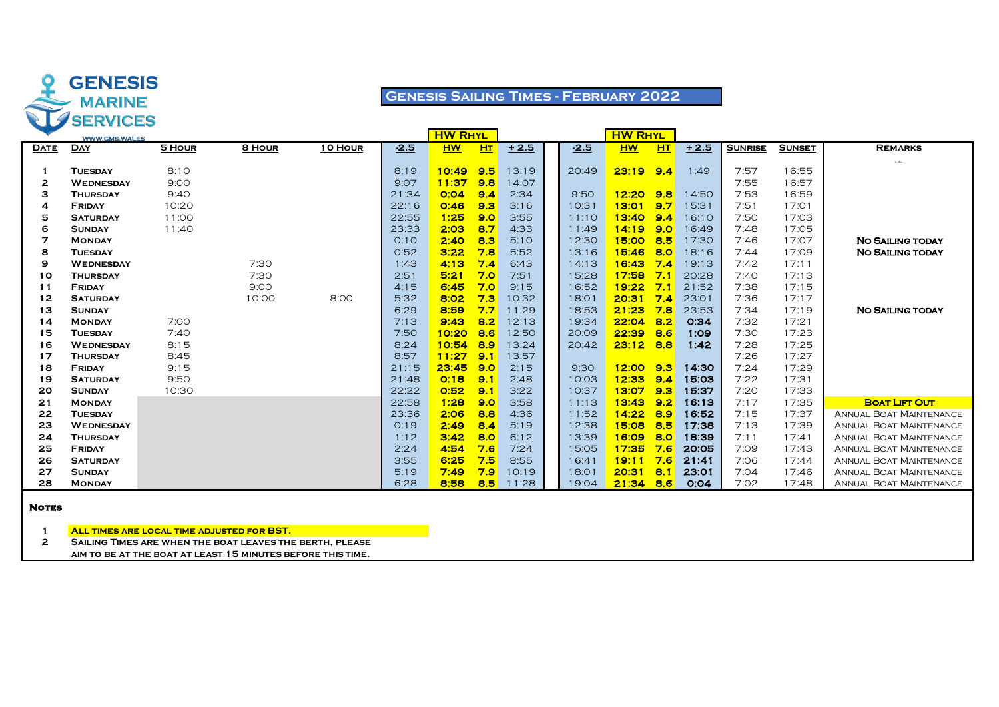

# **Genesis Sailing Times - February 2022**

|             | <b>WWW.GMS.WALES</b> |        |        |         |        | <b>HW RHYL</b> |     |        |        | <b>HW RHYL</b> |     |        |                |               |                                |
|-------------|----------------------|--------|--------|---------|--------|----------------|-----|--------|--------|----------------|-----|--------|----------------|---------------|--------------------------------|
| <b>DATE</b> | <b>DAY</b>           | 5 HOUR | 8 HOUR | 10 HOUR | $-2.5$ | <b>HW</b>      | HT  | $+2.5$ | $-2.5$ | <b>HW</b>      | HT  | $+2.5$ | <b>SUNRISE</b> | <b>SUNSET</b> | <b>REMARKS</b>                 |
|             |                      |        |        |         |        |                |     |        |        |                |     |        |                |               | 2:30                           |
|             | <b>TUESDAY</b>       | 8:10   |        |         | 8:19   | 10:49          | 9.5 | 13:19  | 20:49  | 23:19          | 9.4 | 1:49   | 7:57           | 16:55         |                                |
| 2           | <b>WEDNESDAY</b>     | 9:00   |        |         | 9:07   | 11:37          | 9.8 | 14:07  |        |                |     |        | 7:55           | 16:57         |                                |
| з           | <b>THURSDAY</b>      | 9:40   |        |         | 21:34  | O:O4           | 9.4 | 2:34   | 9:50   | 12:20          | 9.8 | 14:50  | 7:53           | 16:59         |                                |
| 4           | <b>FRIDAY</b>        | 10:20  |        |         | 22:16  | O:46           | 9.3 | 3:16   | 10:31  | 13:01          | 9.7 | 15:31  | 7:51           | 17:01         |                                |
| 5           | <b>SATURDAY</b>      | 11:00  |        |         | 22:55  | 1:25           | 9.0 | 3:55   | 11:10  | 13:40          | 9.4 | 16:10  | 7:50           | 17:03         |                                |
| 6           | <b>SUNDAY</b>        | 11:40  |        |         | 23:33  | 2:03           | 8.7 | 4:33   | 11:49  | 14:19          | 9.0 | 16:49  | 7:48           | 17:05         |                                |
| 7           | <b>MONDAY</b>        |        |        |         | O:1O   | 2:40           | 8.3 | 5:10   | 12:30  | 15:00          | 8.5 | 17:30  | 7:46           | 17:07         | <b>NO SAILING TODAY</b>        |
| 8           | <b>TUESDAY</b>       |        |        |         | 0:52   | 3:22           | 7.8 | 5:52   | 13:16  | 15:46          | 8.0 | 18:16  | 7:44           | 17:09         | <b>NO SAILING TODAY</b>        |
| 9           | <b>WEDNESDAY</b>     |        | 7:30   |         | 1:43   | 4:13           | 7.4 | 6:43   | 14:13  | 16:43          | 7.4 | 19:13  | 7:42           | 17:11         |                                |
| 10          | <b>THURSDAY</b>      |        | 7:30   |         | 2:51   | 5:21           | 7.0 | 7:51   | 15:28  | 17:58          | 7.1 | 20:28  | 7:40           | 17:13         |                                |
| 11          | <b>FRIDAY</b>        |        | 9:00   |         | 4:15   | 6:45           | 7.0 | 9:15   | 16:52  | 19:22          | 7.1 | 21:52  | 7:38           | 17:15         |                                |
| 12          | <b>SATURDAY</b>      |        | 10:00  | 8:00    | 5:32   | 8:02           | 7.3 | 10:32  | 18:01  | 20:31          | 7.4 | 23:01  | 7:36           | 17:17         |                                |
| 13          | <b>SUNDAY</b>        |        |        |         | 6:29   | 8:59           | 7.7 | 11:29  | 18:53  | 21:23          | 7.8 | 23:53  | 7:34           | 17:19         | <b>NO SAILING TODAY</b>        |
| 14          | <b>MONDAY</b>        | 7:00   |        |         | 7:13   | 9:43           | 8.2 | 12:13  | 19:34  | 22:04          | 8.2 | O:34   | 7:32           | 17:21         |                                |
| 15          | <b>TUESDAY</b>       | 7:40   |        |         | 7:50   | 10:20          | 8.6 | 12:50  | 20:09  | 22:39          | 8.6 | 1:09   | 7:30           | 17:23         |                                |
| 16          | <b>WEDNESDAY</b>     | 8:15   |        |         | 8:24   | 10:54          | 8.9 | 13:24  | 20:42  | 23:12          | 8.8 | 1:42   | 7:28           | 17:25         |                                |
| 17          | <b>THURSDAY</b>      | 8:45   |        |         | 8:57   | 11:27          | 9.1 | 13:57  |        |                |     |        | 7:26           | 17:27         |                                |
| 18          | <b>FRIDAY</b>        | 9:15   |        |         | 21:15  | 23:45          | 9.0 | 2:15   | 9:30   | 12:00          | 9.3 | 14:30  | 7:24           | 17:29         |                                |
| 19          | <b>SATURDAY</b>      | 9:50   |        |         | 21:48  | 0:18           | 9.1 | 2:48   | 10:03  | 12:33          | 9.4 | 15:03  | 7:22           | 17:31         |                                |
| 20          | <b>SUNDAY</b>        | 10:30  |        |         | 22:22  | 0:52           | 9.1 | 3:22   | 10:37  | 13:07          | 9.3 | 15:37  | 7:20           | 17:33         |                                |
| 21          | <b>MONDAY</b>        |        |        |         | 22:58  | 1:28           | 9.0 | 3:58   | 11:13  | 13:43          | 9.2 | 16:13  | 7:17           | 17:35         | <b>BOAT LIFT OUT</b>           |
| 22          | <b>TUESDAY</b>       |        |        |         | 23:36  | 2:06           | 8.8 | 4:36   | 11:52  | 14:22          | 8.9 | 16:52  | 7:15           | 17:37         | <b>ANNUAL BOAT MAINTENANCE</b> |
| 23          | <b>WEDNESDAY</b>     |        |        |         | O:19   | 2:49           | 8.4 | 5:19   | 12:38  | 15:08          | 8.5 | 17:38  | 7:13           | 17:39         | <b>ANNUAL BOAT MAINTENANCE</b> |
| 24          | <b>THURSDAY</b>      |        |        |         | 1:12   | 3:42           | 8.0 | 6:12   | 13:39  | <b>16:09</b>   | 8.0 | 18:39  | 7:11           | 17:41         | <b>ANNUAL BOAT MAINTENANCE</b> |
| 25          | <b>FRIDAY</b>        |        |        |         | 2:24   | 4:54           | 7.6 | 7:24   | 15:05  | 17:35          | 7.6 | 20:05  | 7:09           | 17:43         | <b>ANNUAL BOAT MAINTENANCE</b> |
| 26          | <b>SATURDAY</b>      |        |        |         | 3:55   | 6:25           | 7.5 | 8:55   | 16:41  | <u> 19:11</u>  | 7.6 | 21:41  | 7:06           | 17:44         | <b>ANNUAL BOAT MAINTENANCE</b> |
| 27          | <b>SUNDAY</b>        |        |        |         | 5:19   | 7:49           | 7.9 | 10:19  | 18:01  | 20:31          | 8.1 | 23:01  | 7:04           | 17:46         | <b>ANNUAL BOAT MAINTENANCE</b> |
| 28          | <b>MONDAY</b>        |        |        |         | 6:28   | 8:58           | 8.5 | 11:28  | 19:04  | 21:34          | 8.6 | O:O4   | 7:02           | 17:48         | ANNUAL BOAT MAINTENANCE        |

#### **Notes**

**All times are local time adjusted for BST.**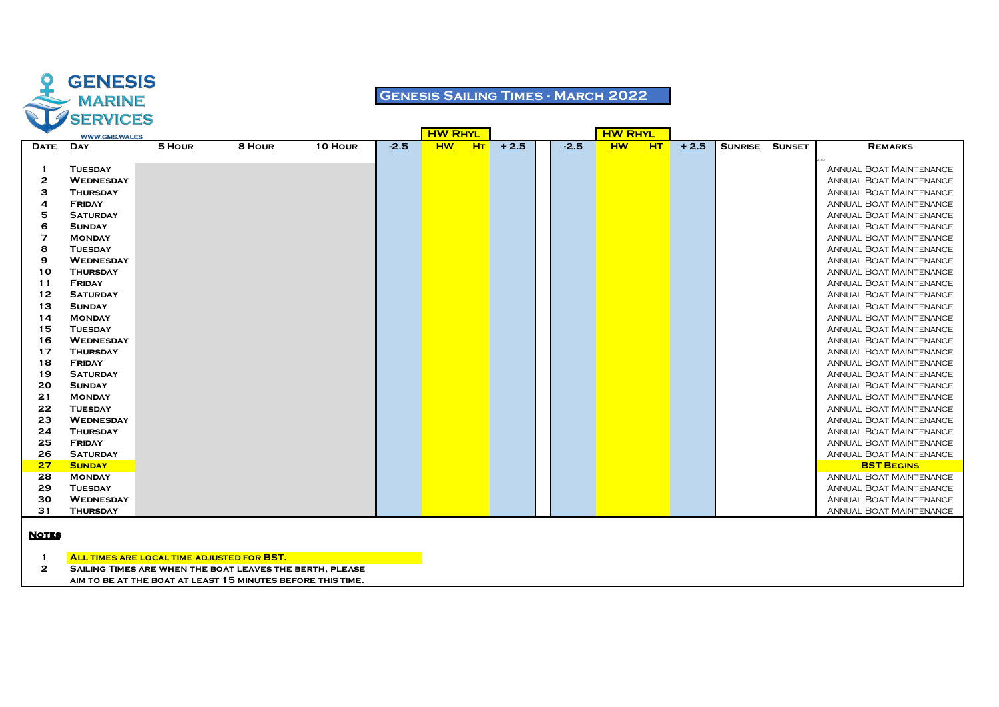

## **Genesis Sailing Times - March 2022**

|             | <b>WWW.GMS.WALES</b> |        |        |         |        | <b>HW RHYL</b> |           |        |        | <b>HW RHYL</b> |    |        |                |               |                                |
|-------------|----------------------|--------|--------|---------|--------|----------------|-----------|--------|--------|----------------|----|--------|----------------|---------------|--------------------------------|
| <b>DATE</b> | <b>DAY</b>           | 5 HOUR | 8 HOUR | 10 HOUR | $-2.5$ | <b>HW</b>      | <b>HT</b> | $+2.5$ | $-2.5$ | <b>HW</b>      | HT | $+2.5$ | <b>SUNRISE</b> | <b>SUNSET</b> | <b>REMARKS</b>                 |
|             |                      |        |        |         |        |                |           |        |        |                |    |        |                |               |                                |
|             | <b>TUESDAY</b>       |        |        |         |        |                |           |        |        |                |    |        |                |               | <b>ANNUAL BOAT MAINTENANCE</b> |
| 2           | <b>WEDNESDAY</b>     |        |        |         |        |                |           |        |        |                |    |        |                |               | <b>ANNUAL BOAT MAINTENANCE</b> |
| з           | <b>THURSDAY</b>      |        |        |         |        |                |           |        |        |                |    |        |                |               | <b>ANNUAL BOAT MAINTENANCE</b> |
| 4           | FRIDAY               |        |        |         |        |                |           |        |        |                |    |        |                |               | <b>ANNUAL BOAT MAINTENANCE</b> |
| 5           | <b>SATURDAY</b>      |        |        |         |        |                |           |        |        |                |    |        |                |               | <b>ANNUAL BOAT MAINTENANCE</b> |
| 6           | <b>SUNDAY</b>        |        |        |         |        |                |           |        |        |                |    |        |                |               | <b>ANNUAL BOAT MAINTENANCE</b> |
| 7           | <b>MONDAY</b>        |        |        |         |        |                |           |        |        |                |    |        |                |               | <b>ANNUAL BOAT MAINTENANCE</b> |
| 8           | <b>TUESDAY</b>       |        |        |         |        |                |           |        |        |                |    |        |                |               | <b>ANNUAL BOAT MAINTENANCE</b> |
| 9           | <b>WEDNESDAY</b>     |        |        |         |        |                |           |        |        |                |    |        |                |               | <b>ANNUAL BOAT MAINTENANCE</b> |
| 10          | <b>THURSDAY</b>      |        |        |         |        |                |           |        |        |                |    |        |                |               | <b>ANNUAL BOAT MAINTENANCE</b> |
| -11         | <b>FRIDAY</b>        |        |        |         |        |                |           |        |        |                |    |        |                |               | <b>ANNUAL BOAT MAINTENANCE</b> |
| 12          | <b>SATURDAY</b>      |        |        |         |        |                |           |        |        |                |    |        |                |               | <b>ANNUAL BOAT MAINTENANCE</b> |
| 13          | <b>SUNDAY</b>        |        |        |         |        |                |           |        |        |                |    |        |                |               | <b>ANNUAL BOAT MAINTENANCE</b> |
| 14          | <b>MONDAY</b>        |        |        |         |        |                |           |        |        |                |    |        |                |               | <b>ANNUAL BOAT MAINTENANCE</b> |
| 15          | <b>TUESDAY</b>       |        |        |         |        |                |           |        |        |                |    |        |                |               | <b>ANNUAL BOAT MAINTENANCE</b> |
| 16          | <b>WEDNESDAY</b>     |        |        |         |        |                |           |        |        |                |    |        |                |               | <b>ANNUAL BOAT MAINTENANCE</b> |
| 17          | <b>THURSDAY</b>      |        |        |         |        |                |           |        |        |                |    |        |                |               | <b>ANNUAL BOAT MAINTENANCE</b> |
| 18          | <b>FRIDAY</b>        |        |        |         |        |                |           |        |        |                |    |        |                |               | <b>ANNUAL BOAT MAINTENANCE</b> |
| 19          | <b>SATURDAY</b>      |        |        |         |        |                |           |        |        |                |    |        |                |               | <b>ANNUAL BOAT MAINTENANCE</b> |
| 20          | <b>SUNDAY</b>        |        |        |         |        |                |           |        |        |                |    |        |                |               | <b>ANNUAL BOAT MAINTENANCE</b> |
| 21          | <b>MONDAY</b>        |        |        |         |        |                |           |        |        |                |    |        |                |               | <b>ANNUAL BOAT MAINTENANCE</b> |
| 22          | <b>TUESDAY</b>       |        |        |         |        |                |           |        |        |                |    |        |                |               | <b>ANNUAL BOAT MAINTENANCE</b> |
| 23          | <b>WEDNESDAY</b>     |        |        |         |        |                |           |        |        |                |    |        |                |               | <b>ANNUAL BOAT MAINTENANCE</b> |
| 24          | <b>THURSDAY</b>      |        |        |         |        |                |           |        |        |                |    |        |                |               | <b>ANNUAL BOAT MAINTENANCE</b> |
| 25          | <b>FRIDAY</b>        |        |        |         |        |                |           |        |        |                |    |        |                |               | <b>ANNUAL BOAT MAINTENANCE</b> |
| 26          | <b>SATURDAY</b>      |        |        |         |        |                |           |        |        |                |    |        |                |               | <b>ANNUAL BOAT MAINTENANCE</b> |
| 27          | <b>SUNDAY</b>        |        |        |         |        |                |           |        |        |                |    |        |                |               | <b>BST BEGINS</b>              |
| 28          | <b>MONDAY</b>        |        |        |         |        |                |           |        |        |                |    |        |                |               | <b>ANNUAL BOAT MAINTENANCE</b> |
| 29          | <b>TUESDAY</b>       |        |        |         |        |                |           |        |        |                |    |        |                |               | <b>ANNUAL BOAT MAINTENANCE</b> |
| 30          | <b>WEDNESDAY</b>     |        |        |         |        |                |           |        |        |                |    |        |                |               | <b>ANNUAL BOAT MAINTENANCE</b> |
| 31          | <b>THURSDAY</b>      |        |        |         |        |                |           |        |        |                |    |        |                |               | <b>ANNUAL BOAT MAINTENANCE</b> |

#### **Notes**

**All times are local time adjusted for BST.**

**Sailing Times are when the boat leaves the berth, please**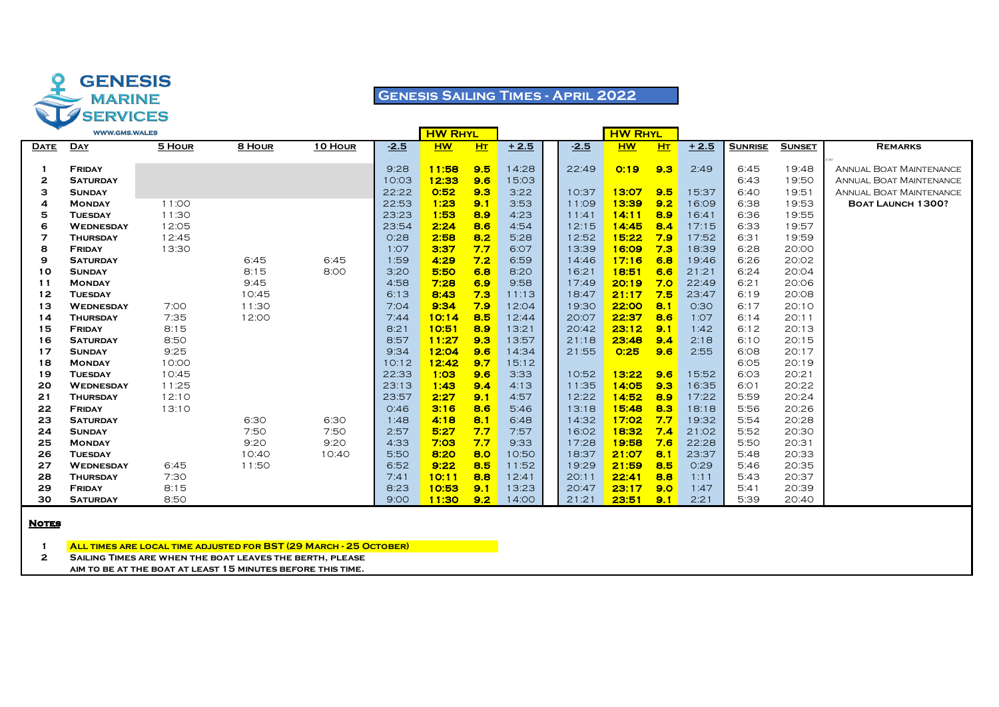

## **Genesis Sailing Times - April 2022**

|              | <b>WWW.GMS.WALES</b> |        |        |         |        | <b>HW RHYL</b> |     |        |        | <b>HW RHYL</b> |                |        |                |               |                                |
|--------------|----------------------|--------|--------|---------|--------|----------------|-----|--------|--------|----------------|----------------|--------|----------------|---------------|--------------------------------|
| <b>DATE</b>  | <b>DAY</b>           | 5 HOUR | 8 HOUR | 10 HOUR | $-2.5$ | <b>HW</b>      | H   | $+2.5$ | $-2.5$ | <b>HW</b>      | H <sub>T</sub> | $+2.5$ | <b>SUNRISE</b> | <b>SUNSET</b> | <b>REMARKS</b>                 |
|              |                      |        |        |         |        |                |     |        |        |                |                |        |                |               |                                |
|              | FRIDAY               |        |        |         | 9:28   | 11:58          | 9.5 | 14:28  | 22:49  | O:19           | 9.3            | 2:49   | 6:45           | 19:48         | <b>ANNUAL BOAT MAINTENANCE</b> |
| 2            | <b>SATURDAY</b>      |        |        |         | 10:03  | 12:33          | 9.6 | 15:03  |        |                |                |        | 6:43           | 19:50         | <b>ANNUAL BOAT MAINTENANCE</b> |
| з            | <b>SUNDAY</b>        |        |        |         | 22:22  | 0:52           | 9.3 | 3:22   | 10:37  | 13:07          | 9.5            | 15:37  | 6:40           | 19:51         | <b>ANNUAL BOAT MAINTENANCE</b> |
| 4            | <b>MONDAY</b>        | 11:00  |        |         | 22:53  | 1:23           | 9.1 | 3:53   | 11:09  | 13:39          | 9.2            | 16:09  | 6:38           | 19:53         | <b>BOAT LAUNCH 1300?</b>       |
| 5            | <b>TUESDAY</b>       | 11:30  |        |         | 23:23  | 1:53           | 8.9 | 4:23   | 11:41  | 14:11          | 8.9            | 16:41  | 6:36           | 19:55         |                                |
| 6            | <b>WEDNESDAY</b>     | 12:05  |        |         | 23:54  | 2:24           | 8.6 | 4:54   | 12:15  | 14:45          | 8.4            | 17:15  | 6:33           | 19:57         |                                |
| 7            | <b>THURSDAY</b>      | 12:45  |        |         | O:28   | 2:58           | 8.2 | 5:28   | 12:52  | 15:22          | 7.9            | 17:52  | 6:31           | 19:59         |                                |
| 8            | FRIDAY               | 13:30  |        |         | 1:07   | 3:37           | 7.7 | 6:07   | 13:39  | 16:09          | 7.3            | 18:39  | 6:28           | 20:00         |                                |
| 9            | <b>SATURDAY</b>      |        | 6:45   | 6:45    | 1:59   | 4:29           | 7.2 | 6:59   | 14:46  | 17:16          | 6.8            | 19:46  | 6:26           | 20:02         |                                |
| 10           | <b>SUNDAY</b>        |        | 8:15   | 8:00    | 3:20   | 5:50           | 6.8 | 8:20   | 16:21  | 18:51          | 6.6            | 21:21  | 6:24           | 20:04         |                                |
| 11           | <b>MONDAY</b>        |        | 9:45   |         | 4:58   | 7:28           | 6.9 | 9:58   | 17:49  | 20:19          | 7.0            | 22:49  | 6:21           | 20:06         |                                |
| 12           | <b>TUESDAY</b>       |        | 10:45  |         | 6:13   | 8:43           | 7.3 | 11:13  | 18:47  | 21:17          | 7.5            | 23:47  | 6:19           | 20:08         |                                |
| 13           | <b>WEDNESDAY</b>     | 7:00   | 11:30  |         | 7:04   | 9:34           | 7.9 | 12:04  | 19:30  | 22:00          | 8.1            | 0:30   | 6:17           | 20:10         |                                |
| 14           | <b>THURSDAY</b>      | 7:35   | 12:00  |         | 7:44   | 10:14          | 8.5 | 12:44  | 20:07  | 22:37          | 8.6            | 1:07   | 6:14           | 20:11         |                                |
| 15           | FRIDAY               | 8:15   |        |         | 8:21   | 10:51          | 8.9 | 13:21  | 20:42  | 23:12          | 9.1            | 1:42   | 6:12           | 20:13         |                                |
| 16           | <b>SATURDAY</b>      | 8:50   |        |         | 8:57   | 11:27          | 9.3 | 13:57  | 21:18  | 23:48          | 9.4            | 2:18   | 6:10           | 20:15         |                                |
| 17           | <b>SUNDAY</b>        | 9:25   |        |         | 9:34   | 12:04          | 9.6 | 14:34  | 21:55  | 0:25           | 9.6            | 2:55   | 6:08           | 20:17         |                                |
| 18           | <b>MONDAY</b>        | 10:00  |        |         | 10:12  | 12:42          | 9.7 | 15:12  |        |                |                |        | 6:05           | 20:19         |                                |
| 19           | <b>TUESDAY</b>       | 10:45  |        |         | 22:33  | 1:03           | 9.6 | 3:33   | 10:52  | 13:22          | 9.6            | 15:52  | 6:03           | 20:21         |                                |
| 20           | <b>WEDNESDAY</b>     | 11:25  |        |         | 23:13  | 1:43           | 9.4 | 4:13   | 11:35  | 14:05          | 9.3            | 16:35  | 6:01           | 20:22         |                                |
| 21           | <b>THURSDAY</b>      | 12:10  |        |         | 23:57  | 2:27           | 9.1 | 4:57   | 12:22  | 14:52          | 8.9            | 17:22  | 5:59           | 20:24         |                                |
| 22           | <b>FRIDAY</b>        | 13:10  |        |         | O:46   | 3:16           | 8.6 | 5:46   | 13:18  | 15:48          | 8.3            | 18:18  | 5:56           | 20:26         |                                |
| 23           | <b>SATURDAY</b>      |        | 6:30   | 6:30    | 1:48   | 4:18           | 8.1 | 6:48   | 14:32  | 17:02          | 7.7            | 19:32  | 5:54           | 20:28         |                                |
| 24           | <b>SUNDAY</b>        |        | 7:50   | 7:50    | 2:57   | 5:27           | 7.7 | 7:57   | 16:02  | 18:32          | 7.4            | 21:02  | 5:52           | 20:30         |                                |
| 25           | <b>MONDAY</b>        |        | 9:20   | 9:20    | 4:33   | 7:03           | 7.7 | 9:33   | 17:28  | 19:58          | 7.6            | 22:28  | 5:50           | 20:31         |                                |
| 26           | <b>TUESDAY</b>       |        | 10:40  | 10:40   | 5:50   | 8:20           | 8.0 | 10:50  | 18:37  | 21:07          | 8.1            | 23:37  | 5:48           | 20:33         |                                |
| 27           | <b>WEDNESDAY</b>     | 6:45   | 11:50  |         | 6:52   | 9:22           | 8.5 | 11:52  | 19:29  | 21:59          | 8.5            | O:29   | 5:46           | 20:35         |                                |
| 28           | <b>THURSDAY</b>      | 7:30   |        |         | 7:41   | 10:11          | 8.8 | 12:41  | 20:11  | 22:41          | 8.8            | 1:11   | 5:43           | 20:37         |                                |
| 29           | <b>FRIDAY</b>        | 8:15   |        |         | 8:23   | 10:53          | 9.1 | 13:23  | 20:47  | 23:17          | 9.0            | 1:47   | 5:41           | 20:39         |                                |
| 30           | <b>SATURDAY</b>      | 8:50   |        |         | 9:00   | 11:30          | 9.2 | 14:00  | 21:21  | 23:51          | 9.1            | 2:21   | 5:39           | 20:40         |                                |
| <b>Notre</b> |                      |        |        |         |        |                |     |        |        |                |                |        |                |               |                                |

**Notes**

**All times are local time adjusted for BST (29 March - 25 October)**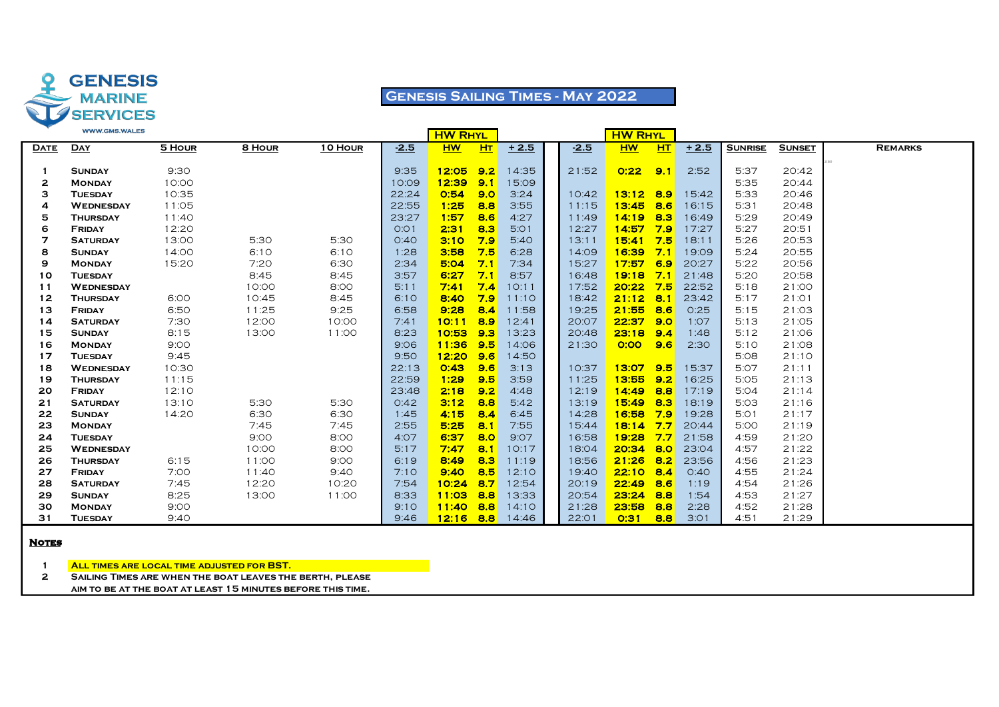

## **Genesis Sailing Times - May 2022**

|             | <b>WWW.GMS.WALES</b> |        |        |         |                  | <b>HW RHYL</b> |     |        |        | <b>HW RHYL</b> |     |        |                |               |                |
|-------------|----------------------|--------|--------|---------|------------------|----------------|-----|--------|--------|----------------|-----|--------|----------------|---------------|----------------|
| <b>DATE</b> | <b>DAY</b>           | 5 HOUR | 8 HOUR | 10 HOUR | $-2.5$           | <b>HW</b>      | HT  | $+2.5$ | $-2.5$ | <b>HW</b>      | HT  | $+2.5$ | <b>SUNRISE</b> | <b>SUNSET</b> | <b>REMARKS</b> |
| -1          | <b>SUNDAY</b>        | 9:30   |        |         | 9:35             | 12:05          | 9.2 | 14:35  | 21:52  | 0:22           | 9.1 | 2:52   | 5:37           | 20:42         | 2:30           |
| 2           | <b>MONDAY</b>        | 10:00  |        |         | 10:09            | 12:39          | 9.1 | 15:09  |        |                |     |        | 5:35           | 20:44         |                |
| з           | <b>TUESDAY</b>       | 10:35  |        |         | 22:24            | 0:54           | 9.0 | 3:24   | 10:42  | $13:12$ 8.9    |     | 15:42  | 5:33           | 20:46         |                |
| 4           | <b>WEDNESDAY</b>     | 11:05  |        |         | 22:55            | 1:25           | 8.8 | 3:55   | 11:15  | 13:45          | 8.6 | 16:15  | 5:31           | 20:48         |                |
| 5           | <b>THURSDAY</b>      | 11:40  |        |         | 23:27            | 1:57           | 8.6 | 4:27   | 11:49  | 14:19          | 8.3 | 16:49  | 5:29           | 20:49         |                |
| 6           | <b>FRIDAY</b>        | 12:20  |        |         | O:O <sub>1</sub> | 2:31           | 8.3 | 5:01   | 12:27  | 14:57          | 7.9 | 17:27  | 5:27           | 20:51         |                |
| 7           | <b>SATURDAY</b>      | 13:00  | 5:30   | 5:30    | O:4O             | 3:10           | 7.9 | 5:40   | 13:11  | 15:41          | 7.5 | 18:11  | 5:26           | 20:53         |                |
| 8           | <b>SUNDAY</b>        | 14:00  | 6:10   | 6:10    | 1:28             | 3:58           | 7.5 | 6:28   | 14:09  | $16:39$ 7.1    |     | 19:09  | 5:24           | 20:55         |                |
| 9           | <b>MONDAY</b>        | 15:20  | 7:20   | 6:30    | 2:34             | 5:04           | 7.1 | 7:34   | 15:27  | 17:57          | 6.9 | 20:27  | 5:22           | 20:56         |                |
| 10          | <b>TUESDAY</b>       |        | 8:45   | 8:45    | 3:57             | 6:27           | 7.1 | 8:57   | 16:48  | 19:18          | 7.1 | 21:48  | 5:20           | 20:58         |                |
| 11          | <b>WEDNESDAY</b>     |        | 10:00  | 8:00    | 5:11             | 7:41           | 7.4 | 10:11  | 17:52  | 20:22          | 7.5 | 22:52  | 5:18           | 21:00         |                |
| 12          | <b>THURSDAY</b>      | 6:00   | 10:45  | 8:45    | 6:10             | 8:40           | 7.9 | 11:10  | 18:42  | 21:12          | 8.1 | 23:42  | 5:17           | 21:01         |                |
| 13          | <b>FRIDAY</b>        | 6:50   | 11:25  | 9:25    | 6:58             | 9:28           | 8.4 | 11:58  | 19:25  | 21:55          | 8.6 | 0:25   | 5:15           | 21:03         |                |
| 14          | <b>SATURDAY</b>      | 7:30   | 12:00  | 10:00   | 7:41             | 10:11          | 8.9 | 12:41  | 20:07  | 22:37          | 9.0 | 1:07   | 5:13           | 21:05         |                |
| 15          | <b>SUNDAY</b>        | 8:15   | 13:00  | 11:00   | 8:23             | 10:53          | 9.3 | 13:23  | 20:48  | 23:18          | 9.4 | 1:48   | 5:12           | 21:06         |                |
| 16          | <b>MONDAY</b>        | 9:00   |        |         | 9:06             | 11:36          | 9.5 | 14:06  | 21:30  | 0:00           | 9.6 | 2:30   | 5:10           | 21:08         |                |
| 17          | <b>TUESDAY</b>       | 9:45   |        |         | 9:50             | 12:20          | 9.6 | 14:50  |        |                |     |        | 5:08           | 21:10         |                |
| 18          | <b>WEDNESDAY</b>     | 10:30  |        |         | 22:13            | O:43           | 9.6 | 3:13   | 10:37  | 13:07          | 9.5 | 15:37  | 5:07           | 21:11         |                |
| 19          | <b>THURSDAY</b>      | 11:15  |        |         | 22:59            | 1:29           | 9.5 | 3:59   | 11:25  | 13:55          | 9.2 | 16:25  | 5:05           | 21:13         |                |
| 20          | FRIDAY               | 12:10  |        |         | 23:48            | 2:18           | 9.2 | 4:48   | 12:19  | 14:49          | 8.8 | 17:19  | 5:04           | 21:14         |                |
| 21          | <b>SATURDAY</b>      | 13:10  | 5:30   | 5:30    | O:42             | 3:12           | 8.8 | 5:42   | 13:19  | 15:49          | 8.3 | 18:19  | 5:03           | 21:16         |                |
| 22          | <b>SUNDAY</b>        | 14:20  | 6:30   | 6:30    | 1:45             | 4:15           | 8.4 | 6:45   | 14:28  | 16:58          | 7.9 | 19:28  | 5:01           | 21:17         |                |
| 23          | <b>MONDAY</b>        |        | 7:45   | 7:45    | 2:55             | 5:25           | 8.1 | 7:55   | 15:44  | $18:14$ 7.7    |     | 20:44  | 5:00           | 21:19         |                |
| 24          | <b>TUESDAY</b>       |        | 9:00   | 8:00    | 4:07             | 6:37           | 8.0 | 9:07   | 16:58  | 19:28          | 7.7 | 21:58  | 4:59           | 21:20         |                |
| 25          | <b>WEDNESDAY</b>     |        | 10:00  | 8:00    | 5:17             | 7:47           | 8.1 | 10:17  | 18:04  | $20:34$ 8.0    |     | 23:04  | 4:57           | 21:22         |                |
| 26          | <b>THURSDAY</b>      | 6:15   | 11:00  | 9:00    | 6:19             | 8:49           | 8.3 | 11:19  | 18:56  | 21:26          | 8.2 | 23:56  | 4:56           | 21:23         |                |
| 27          | <b>FRIDAY</b>        | 7:00   | 11:40  | 9:40    | 7:10             | 9:40           | 8.5 | 12:10  | 19:40  | 22:10          | 8.4 | O:4O   | 4:55           | 21:24         |                |
| 28          | <b>SATURDAY</b>      | 7:45   | 12:20  | 10:20   | 7:54             | 10:24          | 8.7 | 12:54  | 20:19  | 22:49          | 8.6 | 1:19   | 4:54           | 21:26         |                |
| 29          | <b>SUNDAY</b>        | 8:25   | 13:00  | 11:00   | 8:33             | 11:03          | 8.8 | 13:33  | 20:54  | 23:24          | 8.8 | 1:54   | 4:53           | 21:27         |                |
| 30          | <b>MONDAY</b>        | 9:00   |        |         | 9:10             | $11:40$ 8.8    |     | 14:10  | 21:28  | 23:58          | 8.8 | 2:28   | 4:52           | 21:28         |                |
| 31          | <b>TUESDAY</b>       | 9:40   |        |         | 9:46             | $12:16$ 8.8    |     | 14:46  | 22:01  | O:31           | 8.8 | 3:01   | 4:51           | 21:29         |                |
|             |                      |        |        |         |                  |                |     |        |        |                |     |        |                |               |                |

### **Notes**

**All times are local time adjusted for BST.**

**Sailing Times are when the boat leaves the berth, please**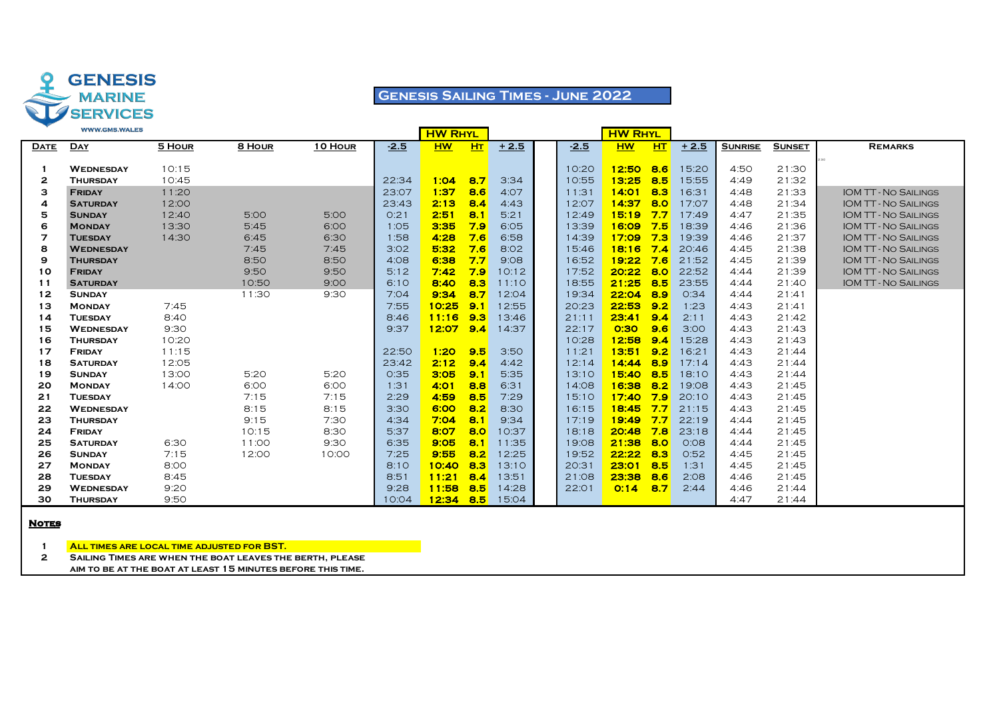

## **Genesis Sailing Times - June 2022**

|             | <b>WWW.GMS.WALES</b> |        |        |         |        | <b>HW RHYL</b> |           |        |        | <b>HW RHYL</b> |        |        |                |               |                             |
|-------------|----------------------|--------|--------|---------|--------|----------------|-----------|--------|--------|----------------|--------|--------|----------------|---------------|-----------------------------|
| <b>DATE</b> | <b>DAY</b>           | 5 HOUR | 8 HOUR | 10 HOUR | $-2.5$ | <b>HW</b>      | <b>HT</b> | $+2.5$ | $-2.5$ | <b>HW</b>      | HT     | $+2.5$ | <b>SUNRISE</b> | <b>SUNSET</b> | <b>REMARKS</b>              |
|             |                      |        |        |         |        |                |           |        |        |                |        |        |                |               |                             |
|             | <b>WEDNESDAY</b>     | 10:15  |        |         |        |                |           |        | 10:20  | 12:50          | 8.6    | 15:20  | 4:50           | 21:30         |                             |
| 2           | <b>THURSDAY</b>      | 10:45  |        |         | 22:34  | 1:04           | 8.7       | 3:34   | 10:55  | 13:25          | 8.5    | 15:55  | 4:49           | 21:32         |                             |
| з           | <b>FRIDAY</b>        | 11:20  |        |         | 23:07  | 1:37           | 8.6       | 4:07   | 11:31  | 14:01          | 8.3    | 16:31  | 4:48           | 21:33         | <b>IOM TT-NO SAILINGS</b>   |
| 4           | <b>SATURDAY</b>      | 12:00  |        |         | 23:43  | 2:13           | 8.4       | 4:43   | 12:07  | 14:37          | 8.0    | 17:07  | 4:48           | 21:34         | <b>IOM TT-NO SAILINGS</b>   |
| 5           | <b>SUNDAY</b>        | 12:40  | 5:00   | 5:00    | O:21   | 2:51           | 8.1       | 5:21   | 12:49  | 15:19          | 7.7    | 17:49  | 4:47           | 21:35         | <b>IOM TT - NO SAILINGS</b> |
| 6           | <b>MONDAY</b>        | 13:30  | 5:45   | 6:00    | 1:05   | 3:35           | 7.9       | 6:05   | 13:39  | 16:09          | 7.5    | 18:39  | 4:46           | 21:36         | <b>IOM TT - NO SAILINGS</b> |
| 7           | <b>TUESDAY</b>       | 14:30  | 6:45   | 6:30    | 1:58   | 4:28           | 7.6       | 6:58   | 14:39  | 17:09          | 7.3    | 19:39  | 4:46           | 21:37         | <b>IOM TT - NO SAILINGS</b> |
| 8           | <b>WEDNESDAY</b>     |        | 7:45   | 7:45    | 3:02   | 5:32           | 7.6       | 8:02   | 15:46  | 18:16          | 7.4    | 20:46  | 4:45           | 21:38         | <b>IOM TT - NO SAILINGS</b> |
| 9           | <b>THURSDAY</b>      |        | 8:50   | 8:50    | 4:08   | 6:38           | 7.7       | 9:08   | 16:52  | 19:22          | 7.6    | 21:52  | 4:45           | 21:39         | <b>IOM TT - NO SAILINGS</b> |
| 10          | <b>FRIDAY</b>        |        | 9:50   | 9:50    | 5:12   | 7:42           | 7.9       | 10:12  | 17:52  | 20:22          | 8.0    | 22:52  | 4:44           | 21:39         | <b>IOM TT-NO SAILINGS</b>   |
| 11          | <b>SATURDAY</b>      |        | 10:50  | 9:00    | 6:10   | 8:40           | 8.3       | 11:10  | 18:55  | 21:25          | 8.5    | 23:55  | 4:44           | 21:40         | <b>IOM TT - NO SAILINGS</b> |
| 12          | <b>SUNDAY</b>        |        | 11:30  | 9:30    | 7:04   | 9:34           | 8.7       | 12:04  | 19:34  | 22:04          | 8.9    | 0:34   | 4:44           | 21:41         |                             |
| 13          | <b>MONDAY</b>        | 7:45   |        |         | 7:55   | 10:25          | 9.1       | 12:55  | 20:23  | 22:53          | 9.2    | 1:23   | 4:43           | 21:41         |                             |
| 14          | <b>TUESDAY</b>       | 8:40   |        |         | 8:46   | 11:16          | 9.3       | 13:46  | 21:11  | 23:41          | 9.4    | 2:11   | 4:43           | 21:42         |                             |
| 15          | <b>WEDNESDAY</b>     | 9:30   |        |         | 9:37   | 12:07          | 9.4       | 14:37  | 22:17  | 0:30           | 9.6    | 3:00   | 4:43           | 21:43         |                             |
| 16          | <b>THURSDAY</b>      | 10:20  |        |         |        |                |           |        | 10:28  | 12:58          | 9.4    | 15:28  | 4:43           | 21:43         |                             |
| 17          | <b>FRIDAY</b>        | 11:15  |        |         | 22:50  | 1:20           | 9.5       | 3:50   | 11:21  | 13:51          | 9.2    | 16:21  | 4:43           | 21:44         |                             |
| 18          | <b>SATURDAY</b>      | 12:05  |        |         | 23:42  | 2:12           | 9.4       | 4:42   | 12:14  | 14:44          | 8.9    | 17:14  | 4:43           | 21:44         |                             |
| 19          | <b>SUNDAY</b>        | 13:00  | 5:20   | 5:20    | 0:35   | 3:05           | 9.1       | 5:35   | 13:10  | 15:40          | 8.5    | 18:10  | 4:43           | 21:44         |                             |
| 20          | <b>MONDAY</b>        | 14:00  | 6:00   | 6:00    | 1:31   | 4:01           | 8.8       | 6:31   | 14:08  | 16:38          | 8.2    | 19:08  | 4:43           | 21:45         |                             |
| 21          | <b>TUESDAY</b>       |        | 7:15   | 7:15    | 2:29   | 4:59           | 8.5       | 7:29   | 15:10  | 17:40          | 7.9    | 20:10  | 4:43           | 21:45         |                             |
| 22          | <b>WEDNESDAY</b>     |        | 8:15   | 8:15    | 3:30   | 6:00           | 8.2       | 8:30   | 16:15  | 18:45          | 7.7    | 21:15  | 4:43           | 21:45         |                             |
| 23          | <b>THURSDAY</b>      |        | 9:15   | 7:30    | 4:34   | 7:04           | 8.1       | 9:34   | 17:19  | 19:49          | 7.7    | 22:19  | 4:44           | 21:45         |                             |
| 24          | <b>FRIDAY</b>        |        | 10:15  | 8:30    | 5:37   | 8:07           | 8.0       | 10:37  | 18:18  | 20:48          | 7.8    | 23:18  | 4:44           | 21:45         |                             |
| 25          | <b>SATURDAY</b>      | 6:30   | 11:00  | 9:30    | 6:35   | 9:05           | 8.1       | 11:35  | 19:08  | 21:38          | 8.0    | O:O8   | 4:44           | 21:45         |                             |
| 26          | <b>SUNDAY</b>        | 7:15   | 12:00  | 10:00   | 7:25   | 9:55           | 8.2       | 12:25  | 19:52  | 22:22          | 8.3    | 0:52   | 4:45           | 21:45         |                             |
| 27          | <b>MONDAY</b>        | 8:00   |        |         | 8:10   | 10:40          | 8.3       | 13:10  | 20:31  | 23:01          | 8.5    | 1:31   | 4:45           | 21:45         |                             |
| 28          | <b>TUESDAY</b>       | 8:45   |        |         | 8:51   | 11:21          | 8.4       | 13:51  | 21:08  | 23:38          | 8.6    | 2:08   | 4:46           | 21:45         |                             |
| 29          | <b>WEDNESDAY</b>     | 9:20   |        |         | 9:28   | 11:58          | 8.5       | 14:28  | 22:01  | O:14           | $-8.7$ | 2:44   | 4:46           | 21:44         |                             |
| 30          | <b>THURSDAY</b>      | 9:50   |        |         | 10:04  | 12:34          | 8.5       | 15:04  |        |                |        |        | 4:47           | 21:44         |                             |

### **Notes**

**All times are local time adjusted for BST.**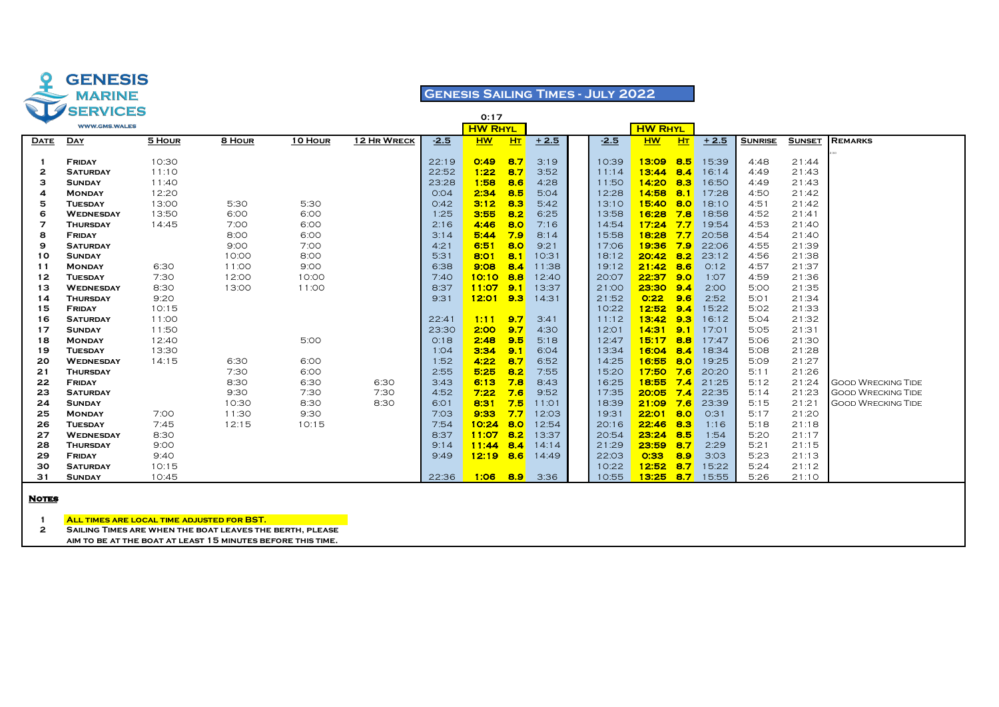

### **Genesis Sailing Times - July 2022**

|             | CU SERVICES                      |        |              |              |             |              | 0:17           |                |              |                |                |                |                |                |                |                           |
|-------------|----------------------------------|--------|--------------|--------------|-------------|--------------|----------------|----------------|--------------|----------------|----------------|----------------|----------------|----------------|----------------|---------------------------|
|             | <b>WWW.GMS.WALES</b>             |        |              |              |             |              | <b>HW RHYL</b> |                |              |                | <b>HW RHYL</b> |                |                |                |                |                           |
| <b>DATE</b> | <b>DAY</b>                       | 5 HOUR | 8 HOUR       | 10 HOUR      | 12 HR WRECK | $-2.5$       | <b>HW</b>      | H <sub>T</sub> | $+2.5$       | $-2.5$         | <b>HW</b>      | H <sub>T</sub> | $+2.5$         | <b>SUNRISE</b> | <b>SUNSET</b>  | <b>REMARKS</b>            |
|             |                                  |        |              |              |             |              |                |                |              |                |                |                |                |                |                |                           |
|             | <b>FRIDAY</b>                    | 10:30  |              |              |             | 22:19        | O:49           | 8.7            | 3:19         | 10:39          | 13:09          | 8.5            | 15:39          | 4:48           | 21:44          |                           |
| 2           | <b>SATURDAY</b>                  | 11:10  |              |              |             | 22:52        | 1:22           | 8.7            | 3:52         | 11:14          | 13:44          | 8.4            | 16:14          | 4:49           | 21:43          |                           |
| з           | <b>SUNDAY</b>                    | 11:40  |              |              |             | 23:28        | 1:58           | 8.6            | 4:28         | 11:50          | 14:20          | 8.3            | 16:50          | 4:49           | 21:43          |                           |
| 4           | <b>MONDAY</b>                    | 12:20  |              |              |             | O:04         | 2:34           | 8.5            | 5:04         | 12:28          | 14:58          | 8.1            | 17:28          | 4:50           | 21:42          |                           |
| 5           | <b>TUESDAY</b>                   | 13:00  | 5:30         | 5:30         |             | O:42         | 3:12           | 8.3            | 5:42         | 13:10          | 15:40          | 8.0            | 18:10          | 4:51           | 21:42          |                           |
| 6           | <b>WEDNESDAY</b>                 | 13:50  | 6:00         | 6:00         |             | 1:25         | 3:55<br>4:46   | 8.2            | 6:25         | 13:58          | 16:28          | 7.8<br>7.7     | 18:58          | 4:52           | 21:41          |                           |
| 7<br>8      | <b>THURSDAY</b>                  | 14:45  | 7:00         | 6:00<br>6:00 |             | 2:16<br>3:14 | 5:44           | 8.0<br>7.9     | 7:16<br>8:14 | 14:54          | 17:24<br>18:28 | 7.7            | 19:54<br>20:58 | 4:53<br>4:54   | 21:40<br>21:40 |                           |
|             | FRIDAY                           |        | 8:00<br>9:00 | 7:00         |             | 4:21         | 6:51           | 8.0            | 9:21         | 15:58<br>17:06 | 19:36          | 7.9            | 22:06          | 4:55           | 21:39          |                           |
| 9<br>10     | <b>SATURDAY</b><br><b>SUNDAY</b> |        | 10:00        | 8:00         |             | 5:31         | 8:01           | 8.1            | 10:31        | 18:12          | 20:42          | 8.2            | 23:12          | 4:56           | 21:38          |                           |
| 11          | <b>MONDAY</b>                    | 6:30   | 11:00        | 9:00         |             | 6:38         | 9:08           | 8.4            | 11:38        | 19:12          | 21:42          | 8.6            | O:12           | 4:57           | 21:37          |                           |
| 12          | <b>TUESDAY</b>                   | 7:30   | 12:00        | 10:00        |             | 7:40         | 10:10          | 8.8            | 12:40        | 20:07          | 22:37          | 9.0            | 1:07           | 4:59           | 21:36          |                           |
| 13          | <b>WEDNESDAY</b>                 | 8:30   | 13:00        | 11:00        |             | 8:37         | 11:07          | 9.1            | 13:37        | 21:00          | 23:30          | 9.4            | 2:00           | 5:00           | 21:35          |                           |
| 14          | <b>THURSDAY</b>                  | 9:20   |              |              |             | 9:31         | $12:01$ 9.3    |                | 14:31        | 21:52          | O:22           | 9.6            | 2:52           | 5:01           | 21:34          |                           |
| 15          | <b>FRIDAY</b>                    | 10:15  |              |              |             |              |                |                |              | 10:22          | 12:52          | 9.4            | 15:22          | 5:02           | 21:33          |                           |
| 16          | <b>SATURDAY</b>                  | 11:00  |              |              |             | 22:41        | 1:11           | 9.7            | 3:41         | 11:12          | 13:42          | 9.3            | 16:12          | 5:04           | 21:32          |                           |
| 17          | <b>SUNDAY</b>                    | 11:50  |              |              |             | 23:30        | 2:00           | 9.7            | 4:30         | 12:01          | 14:31          | 9.1            | 17:01          | 5:05           | 21:31          |                           |
| 18          | <b>MONDAY</b>                    | 12:40  |              | 5:00         |             | 0:18         | 2:48           | 9.5            | 5:18         | 12:47          | 15:17          | 8.8            | 17:47          | 5:06           | 21:30          |                           |
| 19          | <b>TUESDAY</b>                   | 13:30  |              |              |             | 1:04         | 3:34           | 9.1            | 6:04         | 13:34          | 16:04          | 8.4            | 18:34          | 5:08           | 21:28          |                           |
| 20          | <b>WEDNESDAY</b>                 | 14:15  | 6:30         | 6:00         |             | 1:52         | 4:22           | 8.7            | 6:52         | 14:25          | 16:55          | 8.0            | 19:25          | 5:09           | 21:27          |                           |
| 21          | <b>THURSDAY</b>                  |        | 7:30         | 6:00         |             | 2:55         | 5:25           | 8.2            | 7:55         | 15:20          | 17:50          | 7.6            | 20:20          | 5:11           | 21:26          |                           |
| 22          | <b>FRIDAY</b>                    |        | 8:30         | 6:30         | 6:30        | 3:43         | 6:13           | 7.8            | 8:43         | 16:25          | 18:55          | 7.4            | 21:25          | 5:12           | 21:24          | <b>GOOD WRECKING TIDE</b> |
| 23          | <b>SATURDAY</b>                  |        | 9:30         | 7:30         | 7:30        | 4:52         | 7:22           | 7.6            | 9:52         | 17:35          | 20:05          | 7.4            | 22:35          | 5:14           | 21:23          | <b>GOOD WRECKING TIDE</b> |
| 24          | <b>SUNDAY</b>                    |        | 10:30        | 8:30         | 8:30        | 6:01         | 8:31           | 7.5            | 11:01        | 18:39          | 21:09          | 7.6            | 23:39          | 5:15           | 21:21          | <b>GOOD WRECKING TIDE</b> |
| 25          | <b>MONDAY</b>                    | 7:00   | 11:30        | 9:30         |             | 7:03         | 9:33           | 7.7            | 12:03        | 19:31          | 22:01          | 8.0            | 0:31           | 5:17           | 21:20          |                           |
| 26          | <b>TUESDAY</b>                   | 7:45   | 12:15        | 10:15        |             | 7:54         | 10:24          | 8.0            | 12:54        | 20:16          | 22:46          | 8.3            | 1:16           | 5:18           | 21:18          |                           |
| 27          | <b>WEDNESDAY</b>                 | 8:30   |              |              |             | 8:37         | 11:07          | 8.2            | 13:37        | 20:54          | 23:24          | 8.5            | 1:54           | 5:20           | 21:17          |                           |
| 28          | <b>THURSDAY</b>                  | 9:00   |              |              |             | 9:14         | 11:44          | 8.4            | 14:14        | 21:29          | 23:59          | 8.7            | 2:29           | 5:21           | 21:15          |                           |
| 29          | <b>FRIDAY</b>                    | 9:40   |              |              |             | 9:49         | $12:19$ 8.6    |                | 14:49        | 22:03          | 0:33           | 8.9            | 3:03           | 5:23           | 21:13          |                           |
| 30          | <b>SATURDAY</b>                  | 10:15  |              |              |             |              |                |                |              | 10:22          | 12:52          | 8.7            | 15:22          | 5:24           | 21:12          |                           |
| 31          | <b>SUNDAY</b>                    | 10:45  |              |              |             | 22:36        | 1:06           | <b>8.9</b>     | 3:36         | 10:55          | 13:25          | 8.7            | 15:55          | 5:26           | 21:10          |                           |

#### **Notes**

**All times are local time adjusted for BST.**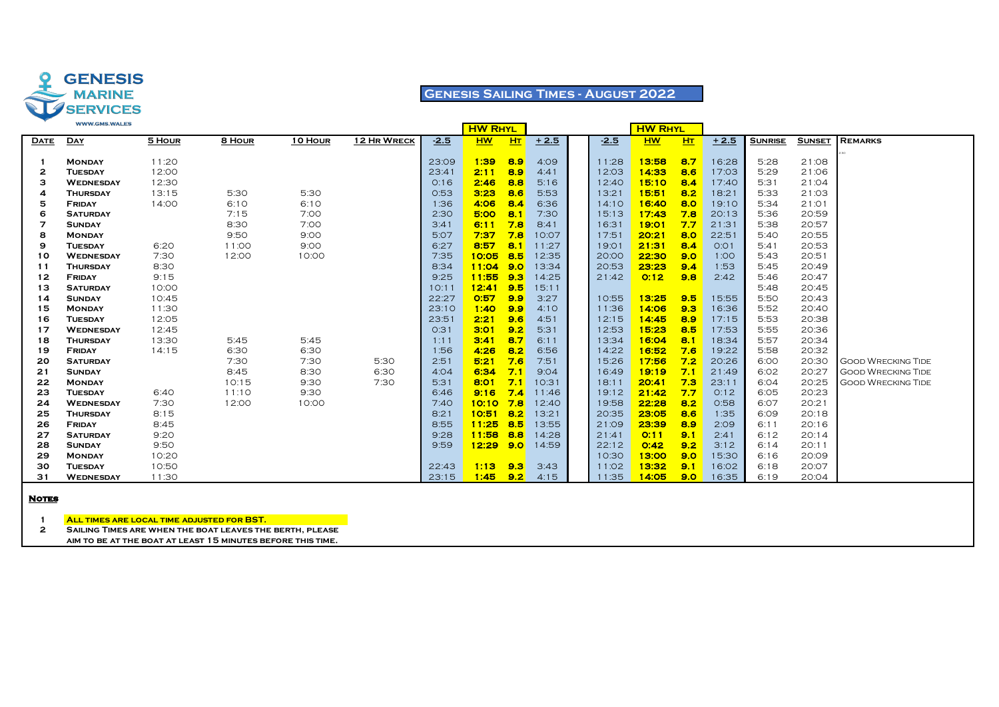

### **Genesis Sailing Times - August 2022**

|             | <b>WWW.GMO.WALES</b> |        |        |         |             |        | <b>HW RHYL</b> |     |        |        | <b>HW RHYL</b> |     |        |                |               |                           |
|-------------|----------------------|--------|--------|---------|-------------|--------|----------------|-----|--------|--------|----------------|-----|--------|----------------|---------------|---------------------------|
| <b>DATE</b> | <b>DAY</b>           | 5 HOUR | 8 HOUR | 10 HOUR | 12 HR WRECK | $-2.5$ | <b>HW</b>      | HT  | $+2.5$ | $-2.5$ | <b>HW</b>      | H   | $+2.5$ | <b>SUNRISE</b> | <b>SUNSET</b> | <b>REMARKS</b>            |
|             |                      |        |        |         |             |        |                |     |        |        |                |     |        |                |               |                           |
|             | <b>MONDAY</b>        | 11:20  |        |         |             | 23:09  | 1:39           | 8.9 | 4:09   | 11:28  | 13:58          | 8.7 | 16:28  | 5:28           | 21:08         |                           |
| 2           | <b>TUESDAY</b>       | 12:00  |        |         |             | 23:41  | 2:11           | 8.9 | 4:41   | 12:03  | 14:33          | 8.6 | 17:03  | 5:29           | 21:06         |                           |
| з           | <b>WEDNESDAY</b>     | 12:30  |        |         |             | O:16   | 2:46           | 8.8 | 5:16   | 12:40  | 15:10          | 8.4 | 17:40  | 5:31           | 21:04         |                           |
| Δ           | <b>THURSDAY</b>      | 13:15  | 5:30   | 5:30    |             | 0:53   | 3:23           | 8.6 | 5:53   | 13:21  | 15:51          | 8.2 | 18:21  | 5:33           | 21:03         |                           |
| 5           | <b>FRIDAY</b>        | 14:00  | 6:10   | 6:10    |             | 1:36   | 4:06           | 8.4 | 6:36   | 14:10  | 16:40          | 8.0 | 19:10  | 5:34           | 21:01         |                           |
| 6           | <b>SATURDAY</b>      |        | 7:15   | 7:00    |             | 2:30   | 5:00           | 8.1 | 7:30   | 15:13  | 17:43          | 7.8 | 20:13  | 5:36           | 20:59         |                           |
| 7           | <b>SUNDAY</b>        |        | 8:30   | 7:00    |             | 3:41   | 6:11           | 7.8 | 8:41   | 16:31  | 19:01          | 7.7 | 21:31  | 5:38           | 20:57         |                           |
| 8           | <b>MONDAY</b>        |        | 9:50   | 9:00    |             | 5:07   | 7:37           | 7.8 | 10:07  | 17:51  | 20:21          | 8.0 | 22:51  | 5:40           | 20:55         |                           |
| 9           | <b>TUESDAY</b>       | 6:20   | 11:00  | 9:00    |             | 6:27   | 8:57           | 8.1 | 11:27  | 19:01  | 21:31          | 8.4 | O:O1   | 5:41           | 20:53         |                           |
| 10          | <b>WEDNESDAY</b>     | 7:30   | 12:00  | 10:00   |             | 7:35   | 10:05          | 8.5 | 12:35  | 20:00  | 22:30          | 9.0 | 1:00   | 5:43           | 20:51         |                           |
| 11          | <b>THURSDAY</b>      | 8:30   |        |         |             | 8:34   | 11:04          | 9.0 | 13:34  | 20:53  | 23:23          | 9.4 | 1:53   | 5:45           | 20:49         |                           |
| 12          | FRIDAY               | 9:15   |        |         |             | 9:25   | 11:55          | 9.3 | 14:25  | 21:42  | 0:12           | 9.8 | 2:42   | 5:46           | 20:47         |                           |
| 13          | <b>SATURDAY</b>      | 10:00  |        |         |             | 10:11  | 12:41          | 9.5 | 15:11  |        |                |     |        | 5:48           | 20:45         |                           |
| 14          | <b>SUNDAY</b>        | 10:45  |        |         |             | 22:27  | 0:57           | 9.9 | 3:27   | 10:55  | 13:25          | 9.5 | 15:55  | 5:50           | 20:43         |                           |
| 15          | <b>MONDAY</b>        | 11:30  |        |         |             | 23:10  | 1:40           | 9.9 | 4:10   | 11:36  | 14:06          | 9.3 | 16:36  | 5:52           | 20:40         |                           |
| 16          | <b>TUESDAY</b>       | 12:05  |        |         |             | 23:51  | 2:21           | 9.6 | 4:51   | 12:15  | 14:45          | 8.9 | 17:15  | 5:53           | 20:38         |                           |
| 17          | <b>WEDNESDAY</b>     | 12:45  |        |         |             | O:31   | 3:01           | 9.2 | 5:31   | 12:53  | 15:23          | 8.5 | 17:53  | 5:55           | 20:36         |                           |
| 18          | <b>THURSDAY</b>      | 13:30  | 5:45   | 5:45    |             | 1:11   | 3:41           | 8.7 | 6:11   | 13:34  | 16:04          | 8.1 | 18:34  | 5:57           | 20:34         |                           |
| 19          | FRIDAY               | 14:15  | 6:30   | 6:30    |             | 1:56   | 4:26           | 8.2 | 6:56   | 14:22  | 16:52          | 7.6 | 19:22  | 5:58           | 20:32         |                           |
| 20          | <b>SATURDAY</b>      |        | 7:30   | 7:30    | 5:30        | 2:51   | 5:21           | 7.6 | 7:51   | 15:26  | 17:56          | 7.2 | 20:26  | 6:00           | 20:30         | <b>GOOD WRECKING TIDE</b> |
| 21          | <b>SUNDAY</b>        |        | 8:45   | 8:30    | 6:30        | 4:04   | 6:34           | 7.1 | 9:04   | 16:49  | 19:19          | 7.1 | 21:49  | 6:02           | 20:27         | <b>GOOD WRECKING TIDE</b> |
| 22          | <b>MONDAY</b>        |        | 10:15  | 9:30    | 7:30        | 5:31   | 8:01           | 7.1 | 10:31  | 18:11  | 20:41          | 7.3 | 23:11  | 6:04           | 20:25         | <b>GOOD WRECKING TIDE</b> |
| 23          | <b>TUESDAY</b>       | 6:40   | 11:10  | 9:30    |             | 6:46   | 9:16           | 7.4 | 11:46  | 19:12  | 21:42          | 7.7 | O:12   | 6:05           | 20:23         |                           |
| 24          | <b>WEDNESDAY</b>     | 7:30   | 12:00  | 10:00   |             | 7:40   | 10:10          | 7.8 | 12:40  | 19:58  | 22:28          | 8.2 | 0:58   | 6:07           | 20:21         |                           |
| 25          | <b>THURSDAY</b>      | 8:15   |        |         |             | 8:21   | 10:51          | 8.2 | 13:21  | 20:35  | 23:05          | 8.6 | 1:35   | 6:09           | 20:18         |                           |
| 26          | <b>FRIDAY</b>        | 8:45   |        |         |             | 8:55   | 11:25          | 8.5 | 13:55  | 21:09  | 23:39          | 8.9 | 2:09   | 6:11           | 20:16         |                           |
| 27          | <b>SATURDAY</b>      | 9:20   |        |         |             | 9:28   | 11:58          | 8.8 | 14:28  | 21:41  | O:11           | 9.1 | 2:41   | 6:12           | 20:14         |                           |
| 28          | <b>SUNDAY</b>        | 9:50   |        |         |             | 9:59   | $12:29$ 9.0    |     | 14:59  | 22:12  | O:42           | 9.2 | 3:12   | 6:14           | 20:11         |                           |
| 29          | <b>MONDAY</b>        | 10:20  |        |         |             |        |                |     |        | 10:30  | 13:00          | 9.0 | 15:30  | 6:16           | 20:09         |                           |
| 30          | <b>TUESDAY</b>       | 10:50  |        |         |             | 22:43  | 1:13           | 9.3 | 3:43   | 11:02  | 13:32          | 9.1 | 16:02  | 6:18           | 20:07         |                           |
| 31          | <b>WEDNESDAY</b>     | 11:30  |        |         |             | 23:15  | 1:45           | 9.2 | 4:15   | 11:35  | 14:05          | 9.0 | 16:35  | 6:19           | 20:04         |                           |

#### **Notes**

**All times are local time adjusted for BST.**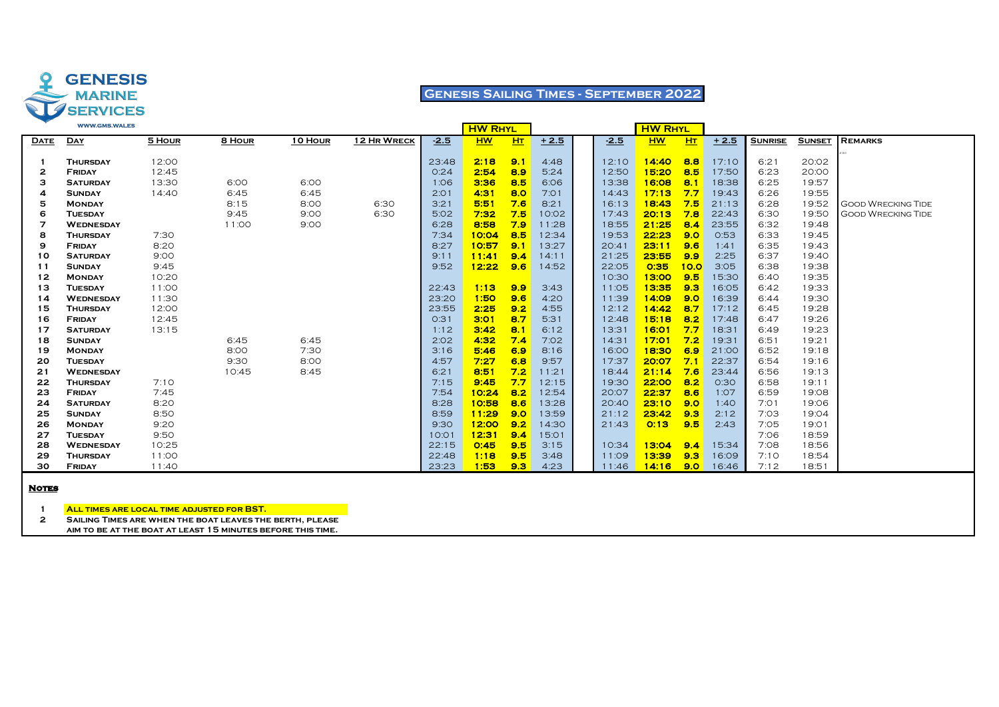

### **Genesis Sailing Times - September 2022**

|             | <b>WWW.GMS.WALES</b> |        |        |         |             |        | <b>HW RHYL</b> |                |        |        | <b>HW RHYL</b> |                  |        |                |               |                           |
|-------------|----------------------|--------|--------|---------|-------------|--------|----------------|----------------|--------|--------|----------------|------------------|--------|----------------|---------------|---------------------------|
| <u>DATE</u> | <b>DAY</b>           | 5 HOUR | 8 HOUR | 10 HOUR | 12 HR WRECK | $-2.5$ | <b>HW</b>      | H <sub>T</sub> | $+2.5$ | $-2.5$ | <b>HW</b>      | H <sub>T</sub>   | $+2.5$ | <b>SUNRISE</b> | <b>SUNSET</b> | <b>REMARKS</b>            |
|             |                      |        |        |         |             |        |                |                |        |        |                |                  |        |                |               |                           |
|             | <b>THURSDAY</b>      | 12:00  |        |         |             | 23:48  | 2:18           | 9.1            | 4:48   | 12:10  | 14:40          | 8.8              | 17:10  | 6:21           | 20:02         |                           |
| 2           | <b>FRIDAY</b>        | 12:45  |        |         |             | O:24   | 2:54           | 8.9            | 5:24   | 12:50  | 15:20          | 8.5              | 17:50  | 6:23           | 20:00         |                           |
| з           | <b>SATURDAY</b>      | 13:30  | 6:00   | 6:00    |             | 1:06   | 3:36           | 8.5            | 6:06   | 13:38  | 16:08          | 8.1              | 18:38  | 6:25           | 19:57         |                           |
| 4           | <b>SUNDAY</b>        | 14:40  | 6:45   | 6:45    |             | 2:01   | 4:31           | 8.0            | 7:01   | 14:43  | 17:13          | 7.7              | 19:43  | 6:26           | 19:55         |                           |
| 5           | <b>MONDAY</b>        |        | 8:15   | 8:00    | 6:30        | 3:21   | 5:51           | 7.6            | 8:21   | 16:13  | 18:43          | 7.5              | 21:13  | 6:28           | 19:52         | <b>GOOD WRECKING TIDE</b> |
| 6           | <b>TUESDAY</b>       |        | 9:45   | 9:00    | 6:30        | 5:02   | 7:32           | 7.5            | 10:02  | 17:43  | 20:13          | 7.8              | 22:43  | 6:30           | 19:50         | <b>GOOD WRECKING TIDE</b> |
| 7           | <b>WEDNESDAY</b>     |        | 11:00  | 9:00    |             | 6:28   | 8:58           | 7.9            | 11:28  | 18:55  | 21:25          | 8.4              | 23:55  | 6:32           | 19:48         |                           |
| 8           | <b>THURSDAY</b>      | 7:30   |        |         |             | 7:34   | 10:04          | 8.5            | 12:34  | 19:53  | 22:23          | 9.0              | 0:53   | 6:33           | 19:45         |                           |
| 9           | <b>FRIDAY</b>        | 8:20   |        |         |             | 8:27   | 10:57          | 9.1            | 13:27  | 20:41  | 23:11          | 9.6              | 1:41   | 6:35           | 19:43         |                           |
| 10          | <b>SATURDAY</b>      | 9:00   |        |         |             | 9:11   | 11:41          | 9.4            | 14:11  | 21:25  | 23:55          | 9.9              | 2:25   | 6:37           | 19:40         |                           |
| 11          | <b>SUNDAY</b>        | 9:45   |        |         |             | 9:52   | 12:22          | 9.6            | 14:52  | 22:05  | 0:35           | 10.0             | 3:05   | 6:38           | 19:38         |                           |
| 12          | <b>MONDAY</b>        | 10:20  |        |         |             |        |                |                |        | 10:30  | 13:00          | 9.5              | 15:30  | 6:40           | 19:35         |                           |
| 13          | <b>TUESDAY</b>       | 11:00  |        |         |             | 22:43  | 1:13           | 9.9            | 3:43   | 11:05  | 13:35          | 9.3              | 16:05  | 6:42           | 19:33         |                           |
| 14          | <b>WEDNESDAY</b>     | 11:30  |        |         |             | 23:20  | 1:50           | 9.6            | 4:20   | 11:39  | 14:09          | 9.0              | 16:39  | 6:44           | 19:30         |                           |
| 15          | <b>THURSDAY</b>      | 12:00  |        |         |             | 23:55  | 2:25           | 9.2            | 4:55   | 12:12  | 14:42          | 8.7              | 17:12  | 6:45           | 19:28         |                           |
| 16          | <b>FRIDAY</b>        | 12:45  |        |         |             | 0:31   | 3:01           | 8.7            | 5:31   | 12:48  | 15:18          | 8.2              | 17:48  | 6:47           | 19:26         |                           |
| 17          | <b>SATURDAY</b>      | 13:15  |        |         |             | 1:12   | 3:42           | 8.1            | 6:12   | 13:31  | 16:01          | 7.7              | 18:31  | 6:49           | 19:23         |                           |
| 18          | <b>SUNDAY</b>        |        | 6:45   | 6:45    |             | 2:02   | 4:32           | 7.4            | 7:02   | 14:31  | 17:01          | 7.2              | 19:31  | 6:51           | 19:21         |                           |
| 19          | <b>MONDAY</b>        |        | 8:00   | 7:30    |             | 3:16   | 5:46           | 6.9            | 8:16   | 16:00  | 18:30          | 6.9              | 21:00  | 6:52           | 19:18         |                           |
| 20          | <b>TUESDAY</b>       |        | 9:30   | 8:00    |             | 4:57   | 7:27           | 6.8            | 9:57   | 17:37  | 20:07          | 7.1              | 22:37  | 6:54           | 19:16         |                           |
| 21          | <b>WEDNESDAY</b>     |        | 10:45  | 8:45    |             | 6:21   | 8:51           | 7.2            | 11:21  | 18:44  | 21:14          | 7.6              | 23:44  | 6:56           | 19:13         |                           |
| 22          | <b>THURSDAY</b>      | 7:10   |        |         |             | 7:15   | 9:45           | 7.7            | 12:15  | 19:30  | 22:00          | 8.2              | 0:30   | 6:58           | 19:11         |                           |
| 23          | <b>FRIDAY</b>        | 7:45   |        |         |             | 7:54   | 10:24          | 8.2            | 12:54  | 20:07  | 22:37          | 8.6              | 1:07   | 6:59           | 19:08         |                           |
| 24          | <b>SATURDAY</b>      | 8:20   |        |         |             | 8:28   | 10:58          | 8.6            | 13:28  | 20:40  | 23:10          | 9.0              | 1:40   | 7:01           | 19:06         |                           |
| 25          | <b>SUNDAY</b>        | 8:50   |        |         |             | 8:59   | 11:29          | 9.0            | 13:59  | 21:12  | 23:42          | 9.3              | 2:12   | 7:03           | 19:04         |                           |
| 26          | <b>MONDAY</b>        | 9:20   |        |         |             | 9:30   | 12:00          | 9.2            | 14:30  | 21:43  | 0:13           | 9.5              | 2:43   | 7:05           | 19:01         |                           |
| 27          | <b>TUESDAY</b>       | 9:50   |        |         |             | 10:01  | 12:31          | 9.4            | 15:01  |        |                |                  |        | 7:06           | 18:59         |                           |
| 28          | <b>WEDNESDAY</b>     | 10:25  |        |         |             | 22:15  | 0:45           | 9.5            | 3:15   | 10:34  | 13:04          | 9.4              | 15:34  | 7:08           | 18:56         |                           |
| 29          | <b>THURSDAY</b>      | 11:00  |        |         |             | 22:48  | 1:18           | 9.5            | 3:48   | 11:09  | 13:39          | 9.3              | 16:09  | 7:10           | 18:54         |                           |
| 30          | <b>FRIDAY</b>        | 11:40  |        |         |             | 23:23  | 1:53           | 9.3            | 4:23   | 11:46  | 14:16          | 9.0 <sub>1</sub> | 16:46  | 7:12           | 18:51         |                           |
|             |                      |        |        |         |             |        |                |                |        |        |                |                  |        |                |               |                           |

#### **Notes**

**All times are local time adjusted for BST.**

**Sailing Times are when the boat leaves the berth, please**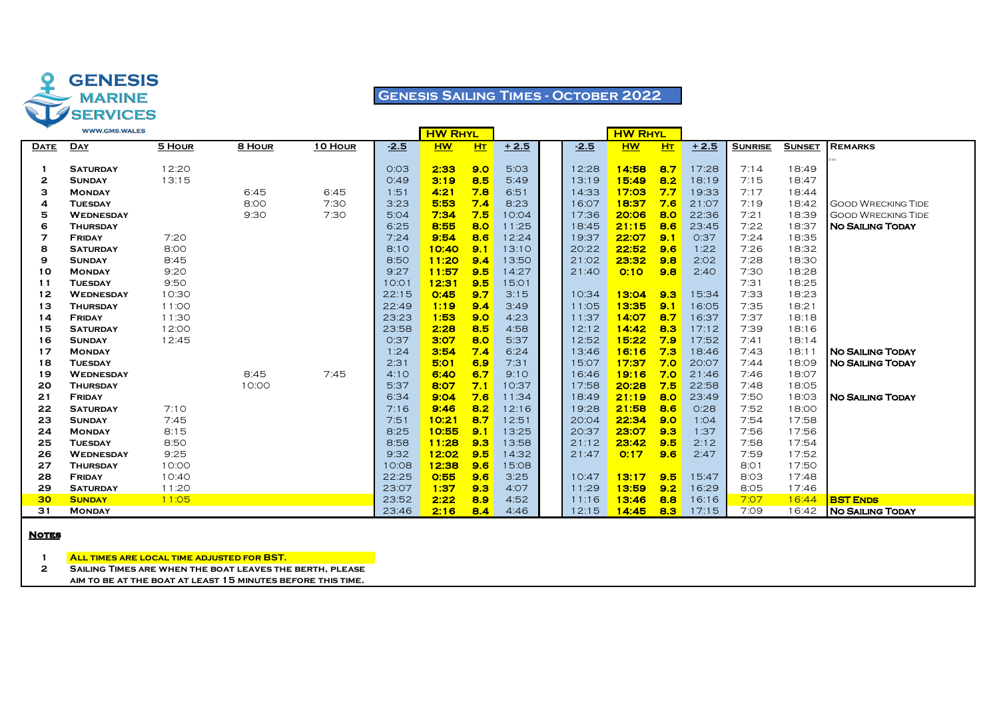

## **Genesis Sailing Times - October 2022**

|             | <b>WWW.GMS.WALES</b>                |        |               |         |              | <b>HW RHYL</b> |            |                |                | <b>HW RHYL</b> |                |                |                |                |                           |
|-------------|-------------------------------------|--------|---------------|---------|--------------|----------------|------------|----------------|----------------|----------------|----------------|----------------|----------------|----------------|---------------------------|
| <b>DATE</b> | <b>DAY</b>                          | 5 HOUR | 8 HOUR        | 10 HOUR | $-2.5$       | <b>HW</b>      | H          | $+2.5$         | $-2.5$         | <b>HW</b>      | H <sub>T</sub> | $+2.5$         | <b>SUNRISE</b> | <b>SUNSET</b>  | <b>REMARKS</b>            |
|             |                                     |        |               |         |              |                |            |                |                |                |                |                |                |                |                           |
|             | <b>SATURDAY</b>                     | 12:20  |               |         | 0:03         | 2:33           | 9.0        | 5:03           | 12:28          | 14:58          | 8.7            | 17:28          | 7:14           | 18:49          |                           |
| 2           | <b>SUNDAY</b>                       | 13:15  |               |         | O:49         | 3:19           | 8.5        | 5:49           | 13:19          | 15:49          | 8.2            | 18:19          | 7:15           | 18:47          |                           |
| з           | <b>MONDAY</b>                       |        | 6:45          | 6:45    | 1:51         | 4:21           | 7.8        | 6:51           | 14:33          | 17:03          | 7.7            | 19:33          | 7:17           | 18:44          |                           |
| 4           | <b>TUESDAY</b>                      |        | 8:00          | 7:30    | 3:23         | 5:53           | 7.4        | 8:23           | 16:07          | 18:37          | 7.6            | 21:07          | 7:19           | 18:42          | <b>GOOD WRECKING TIDE</b> |
| 5           | <b>WEDNESDAY</b>                    |        | 9:30          | 7:30    | 5:04         | 7:34           | 7.5        | 10:04          | 17:36          | 20:06          | 8.0            | 22:36          | 7:21           | 18:39          | <b>GOOD WRECKING TIDE</b> |
| 6           | <b>THURSDAY</b>                     |        |               |         | 6:25         | 8:55           | 8.0        | 11:25          | 18:45          | 21:15          | 8.6            | 23:45          | 7:22           | 18:37          | <b>NO SAILING TODAY</b>   |
| 7           | FRIDAY                              | 7:20   |               |         | 7:24         | 9:54           | 8.6        | 12:24          | 19:37          | 22:07          | 9.1            | 0:37           | 7:24           | 18:35          |                           |
| 8           | <b>SATURDAY</b>                     | 8:00   |               |         | 8:10         | 10:40          | 9.1        | 13:10          | 20:22          | 22:52          | 9.6            | 1:22           | 7:26           | 18:32          |                           |
| 9           | <b>SUNDAY</b>                       | 8:45   |               |         | 8:50         | 11:20          | 9.4        | 13:50          | 21:02          | 23:32          | 9.8            | 2:02           | 7:28           | 18:30          |                           |
| 10          | <b>MONDAY</b>                       | 9:20   |               |         | 9:27         | 11:57          | 9.5        | 14:27          | 21:40          | O:10           | 9.8            | 2:40           | 7:30           | 18:28          |                           |
| 11          | <b>TUESDAY</b>                      | 9:50   |               |         | 10:01        | 12:31          | 9.5        | 15:01          |                |                |                |                | 7:31           | 18:25          |                           |
| 12          | <b>WEDNESDAY</b>                    | 10:30  |               |         | 22:15        | 0:45           | 9.7        | 3:15           | 10:34          | 13:04          | 9.3            | 15:34          | 7:33           | 18:23          |                           |
| 13          | <b>THURSDAY</b>                     | 11:00  |               |         | 22:49        | 1:19           | 9.4        | 3:49           | 11:05          | 13:35          | 9.1            | 16:05          | 7:35           | 18:21          |                           |
| 14          | FRIDAY                              | 11:30  |               |         | 23:23        | 1:53           | 9.0        | 4:23           | 11:37          | 14:07          | 8.7            | 16:37          | 7:37           | 18:18          |                           |
| 15          | <b>SATURDAY</b>                     | 12:00  |               |         | 23:58        | 2:28           | 8.5        | 4:58           | 12:12          | 14:42          | 8.3            | 17:12          | 7:39           | 18:16          |                           |
| 16          | <b>SUNDAY</b>                       | 12:45  |               |         | O:37         | 3:07           | 8.0        | 5:37           | 12:52          | 15:22          | 7.9            | 17:52          | 7:41           | 18:14          |                           |
| 17          | <b>MONDAY</b>                       |        |               |         | 1:24         | 3:54           | 7.4        | 6:24           | 13:46          | 16:16          | 7.3            | 18:46          | 7:43           | 18:11          | <b>NO SAILING TODAY</b>   |
| 18          | <b>TUESDAY</b>                      |        |               |         | 2:31         | 5:01<br>6:40   | 6.9        | 7:31           | 15:07          | 17:37<br>19:16 | 7.0<br>7.0     | 20:07          | 7:44           | 18:09          | <b>NO SAILING TODAY</b>   |
| 19<br>20    | <b>WEDNESDAY</b><br><b>THURSDAY</b> |        | 8:45<br>10:00 | 7:45    | 4:10<br>5:37 | 8:07           | 6.7<br>7.1 | 9:10<br>10:37  | 16:46<br>17:58 | 20:28          | 7.5            | 21:46<br>22:58 | 7:46<br>7:48   | 18:07<br>18:05 |                           |
|             |                                     |        |               |         | 6:34         | 9:04           | 7.6        |                | 18:49          | 21:19          | 8.0            |                | 7:50           |                | <b>NO SAILING TODAY</b>   |
| 21<br>22    | <b>FRIDAY</b><br><b>SATURDAY</b>    | 7:10   |               |         | 7:16         | 9:46           | 8.2        | 11:34<br>12:16 | 19:28          | 21:58          | 8.6            | 23:49<br>O:28  | 7:52           | 18:03<br>18:00 |                           |
| 23          | <b>SUNDAY</b>                       | 7:45   |               |         | 7:51         | 10:21          | 8.7        | 12:51          | 20:04          | 22:34          | 9.0            | 1:04           | 7:54           | 17:58          |                           |
| 24          | <b>MONDAY</b>                       | 8:15   |               |         | 8:25         | 10:55          | 9.1        | 13:25          | 20:37          | 23:07          | 9.3            | 1:37           | 7:56           | 17:56          |                           |
| 25          | <b>TUESDAY</b>                      | 8:50   |               |         | 8:58         | 11:28          | 9.3        | 13:58          | 21:12          | 23:42          | 9.5            | 2:12           | 7:58           | 17:54          |                           |
| 26          | <b>WEDNESDAY</b>                    | 9:25   |               |         | 9:32         | 12:02          | 9.5        | 14:32          | 21:47          | 0:17           | 9.6            | 2:47           | 7:59           | 17:52          |                           |
| 27          | <b>THURSDAY</b>                     | 10:00  |               |         | 10:08        | 12:38          | 9.6        | 15:08          |                |                |                |                | 8:01           | 17:50          |                           |
| 28          | <b>FRIDAY</b>                       | 10:40  |               |         | 22:25        | 0:55           | 9.6        | 3:25           | 10:47          | 13:17          | 9.5            | 15:47          | 8:03           | 17:48          |                           |
| 29          | <b>SATURDAY</b>                     | 11:20  |               |         | 23:07        | 1:37           | 9.3        | 4:07           | 11:29          | 13:59          | 9.2            | 16:29          | 8:05           | 17:46          |                           |
| 30          | <b>SUNDAY</b>                       | 11:05  |               |         | 23:52        | 2:22           | 8.9        | 4:52           | 11:16          | 13:46          | 8.8            | 16:16          | 7:07           | 16:44          | <b>BST ENDS</b>           |
| 31          | <b>MONDAY</b>                       |        |               |         | 23:46        | 2:16           | 8.4        | 4:46           | 12:15          | 14:45          | 8.3            | 17:15          | 7:09           |                | 16:42 No SAILING TODAY    |
|             |                                     |        |               |         |              |                |            |                |                |                |                |                |                |                |                           |

#### **Notes**

**All times are local time adjusted for BST.**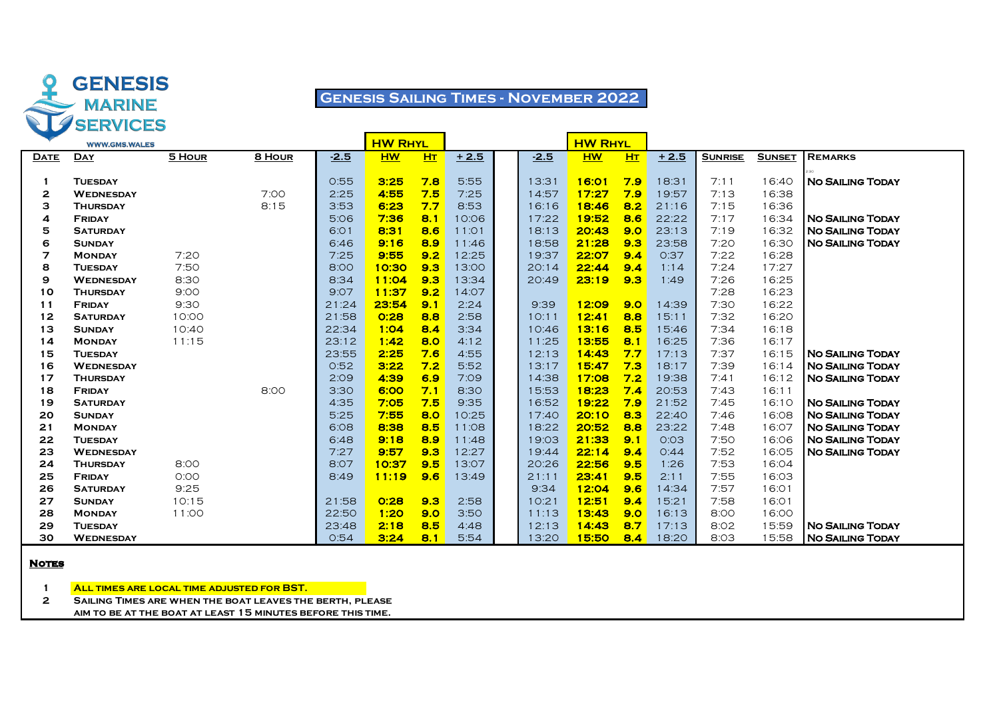

# **Genesis Sailing Times - November 2022**

|             | <b>WWW.GMS.WALES</b> |        |        |        | <b>HW RHYL</b> |           |        |        | <b>HW RHYL</b> |           |        |                |               |                           |
|-------------|----------------------|--------|--------|--------|----------------|-----------|--------|--------|----------------|-----------|--------|----------------|---------------|---------------------------|
| <b>DATE</b> | <b>DAY</b>           | 5 HOUR | 8 HOUR | $-2.5$ | <b>HW</b>      | <b>HT</b> | $+2.5$ | $-2.5$ | <b>HW</b>      | <b>HT</b> | $+2.5$ | <b>SUNRISE</b> | <b>SUNSET</b> | <b>REMARKS</b>            |
|             |                      |        |        |        |                |           |        |        |                |           |        |                |               |                           |
|             | <b>TUESDAY</b>       |        |        | 0:55   | 3:25           | 7.8       | 5:55   | 13:31  | 16:01          | 7.9       | 18:31  | 7:11           | 16:40         | <b>NO SAILING TODAY</b>   |
| 2           | <b>WEDNESDAY</b>     |        | 7:00   | 2:25   | 4:55           | 7.5       | 7:25   | 14:57  | 17:27          | 7.9       | 19:57  | 7:13           | 16:38         |                           |
| з           | <b>THURSDAY</b>      |        | 8:15   | 3:53   | 6:23           | 7.7       | 8:53   | 16:16  | 18:46          | 8.2       | 21:16  | 7:15           | 16:36         |                           |
| 4           | <b>FRIDAY</b>        |        |        | 5:06   | 7:36           | 8.1       | 10:06  | 17:22  | 19:52          | 8.6       | 22:22  | 7:17           | 16:34         | <b>INO SAILING TODAY</b>  |
| 5           | <b>SATURDAY</b>      |        |        | 6:01   | 8:31           | 8.6       | 11:01  | 18:13  | 20:43          | 9.0       | 23:13  | 7:19           | 16:32         | <b>NO SAILING TODAY</b>   |
| 6           | <b>SUNDAY</b>        |        |        | 6:46   | 9:16           | 8.9       | 11:46  | 18:58  | 21:28          | 9.3       | 23:58  | 7:20           | 16:30         | <b>NO SAILING TODAY</b>   |
| 7           | <b>MONDAY</b>        | 7:20   |        | 7:25   | 9:55           | 9.2       | 12:25  | 19:37  | 22:07          | 9.4       | 0:37   | 7:22           | 16:28         |                           |
| 8           | <b>TUESDAY</b>       | 7:50   |        | 8:00   | 10:30          | 9.3       | 13:00  | 20:14  | 22:44          | 9.4       | 1:14   | 7:24           | 17:27         |                           |
| 9           | <b>WEDNESDAY</b>     | 8:30   |        | 8:34   | 11:04          | 9.3       | 13:34  | 20:49  | 23:19          | 9.3       | 1:49   | 7:26           | 16:25         |                           |
| 10          | <b>THURSDAY</b>      | 9:00   |        | 9:07   | 11:37          | 9.2       | 14:07  |        |                |           |        | 7:28           | 16:23         |                           |
| 11          | <b>FRIDAY</b>        | 9:30   |        | 21:24  | 23:54          | 9.1       | 2:24   | 9:39   | 12:09          | 9.0       | 14:39  | 7:30           | 16:22         |                           |
| 12          | <b>SATURDAY</b>      | 10:00  |        | 21:58  | O:28           | 8.8       | 2:58   | 10:11  | 12:41          | 8.8       | 15:11  | 7:32           | 16:20         |                           |
| 13          | <b>SUNDAY</b>        | 10:40  |        | 22:34  | 1:04           | 8.4       | 3:34   | 10:46  | 13:16          | 8.5       | 15:46  | 7:34           | 16:18         |                           |
| 14          | <b>MONDAY</b>        | 11:15  |        | 23:12  | 1:42           | 8.0       | 4:12   | 11:25  | 13:55          | 8.1       | 16:25  | 7:36           | 16:17         |                           |
| 15          | <b>TUESDAY</b>       |        |        | 23:55  | 2:25           | 7.6       | 4:55   | 12:13  | 14:43          | 7.7       | 17:13  | 7:37           | 16:15         | <b>NO SAILING TODAY</b>   |
| 16          | <b>WEDNESDAY</b>     |        |        | 0:52   | 3:22           | 7.2       | 5:52   | 13:17  | 15:47          | 7.3       | 18:17  | 7:39           | 16:14         | <b>NO SAILING TODAY</b>   |
| 17          | <b>THURSDAY</b>      |        |        | 2:09   | 4:39           | 6.9       | 7:09   | 14:38  | 17:08          | 7.2       | 19:38  | 7:41           | 16:12         | <b>NO SAILING TODAY</b>   |
| 18          | <b>FRIDAY</b>        |        | 8:00   | 3:30   | 6:00           | 7.1       | 8:30   | 15:53  | 18:23          | 7.4       | 20:53  | 7:43           | 16:11         |                           |
| 19          | <b>SATURDAY</b>      |        |        | 4:35   | 7:05           | 7.5       | 9:35   | 16:52  | 19:22          | 7.9       | 21:52  | 7:45           | 16:10         | <b>NO SAILING TODAY</b>   |
| 20          | <b>SUNDAY</b>        |        |        | 5:25   | 7:55           | 8.0       | 10:25  | 17:40  | 20:10          | 8.3       | 22:40  | 7:46           | 16:08         | <b>NO SAILING TODAY</b>   |
| 21          | <b>MONDAY</b>        |        |        | 6:08   | 8:38           | 8.5       | 11:08  | 18:22  | 20:52          | 8.8       | 23:22  | 7:48           | 16:07         | <b>NO SAILING TODAY</b>   |
| 22          | <b>TUESDAY</b>       |        |        | 6:48   | 9:18           | 8.9       | 11:48  | 19:03  | 21:33          | 9.1       | O:O3   | 7:50           | 16:06         | <b>NO SAILING TODAY</b>   |
| 23          | <b>WEDNESDAY</b>     |        |        | 7:27   | 9:57           | 9.3       | 12:27  | 19:44  | 22:14          | 9.4       | O:44   | 7:52           | 16:05         | <b>NO SAILING TODAY</b>   |
| 24          | <b>THURSDAY</b>      | 8:00   |        | 8:07   | 10:37          | 9.5       | 13:07  | 20:26  | 22:56          | 9.5       | 1:26   | 7:53           | 16:04         |                           |
| 25          | <b>FRIDAY</b>        | O:OO   |        | 8:49   | 11:19          | 9.6       | 13:49  | 21:11  | 23:41          | 9.5       | 2:11   | 7:55           | 16:03         |                           |
| 26          | <b>SATURDAY</b>      | 9:25   |        |        |                |           |        | 9:34   | 12:04          | 9.6       | 14:34  | 7:57           | 16:01         |                           |
| 27          | <b>SUNDAY</b>        | 10:15  |        | 21:58  | 0:28           | 9.3       | 2:58   | 10:21  | 12:51          | 9.4       | 15:21  | 7:58           | 16:01         |                           |
| 28          | <b>MONDAY</b>        | 11:00  |        | 22:50  | 1:20           | 9.0       | 3:50   | 11:13  | 13:43          | 9.0       | 16:13  | 8:00           | 16:00         |                           |
| 29          | <b>TUESDAY</b>       |        |        | 23:48  | 2:18           | 8.5       | 4:48   | 12:13  | 14:43          | 8.7       | 17:13  | 8:02           | 15:59         | <b>I NO SAILING TODAY</b> |
| 30          | <b>WEDNESDAY</b>     |        |        | 0:54   | 3:24           | 8.1       | 5:54   | 13:20  | 15:50          | 8.4       | 18:20  | 8:03           | 15:58         | <b>INO SAILING TODAY</b>  |

#### **Notes**

**All times are local time adjusted for BST.**